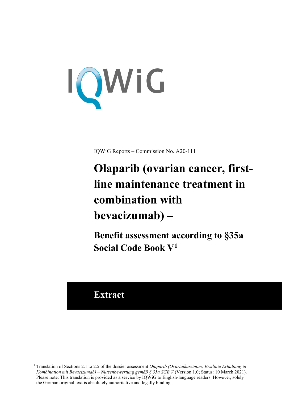<span id="page-0-3"></span>

IQWiG Reports – Commission No. A20-111

# <span id="page-0-2"></span><span id="page-0-1"></span>**Olaparib (ovarian cancer, firstline maintenance treatment in combination with bevacizumab) –**

**Benefit assessment according to §35a Social Code Book V[1](#page-0-0)**

# **Extract**

-

<span id="page-0-0"></span><sup>&</sup>lt;sup>1</sup> Translation of Sections 2.1 to 2.5 of the dossier assessment *Olaparib (Ovarialkarzinom; Erstlinie Erhaltung in Kombination mit Bevacizumab) – Nutzenbewertung gemäß § 35a SGB V* (Version 1.0; Status: 10 March 2021). Please note: This translation is provided as a service by IQWiG to English-language readers. However, solely the German original text is absolutely authoritative and legally binding.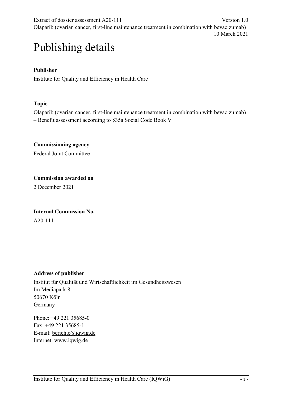# Publishing details

# **Publisher**

Institute for Quality and Efficiency in Health Care

# **Topic**

Olaparib (ovarian cancer, first-line maintenance treatment in combination with bevacizumab) – Benefit assessment according to §35a Social Code Book V

**Commissioning agency**  Federal Joint Committee

**Commission awarded on** 

2 December 2021

**Internal Commission No.** 

A20-111

# **Address of publisher**

Institut für Qualität und Wirtschaftlichkeit im Gesundheitswesen Im Mediapark 8 50670 Köln Germany

Phone: +49 221 35685-0 Fax: +49 221 35685-1 E-mail: [berichte@iqwig.de](mailto:berichte@iqwig.de) Internet: [www.iqwig.de](http://www.iqwig.de/)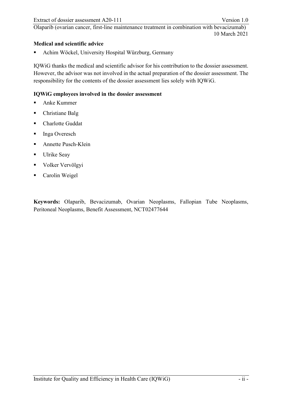# **Medical and scientific advice**

Achim Wöckel, University Hospital Würzburg, Germany

IQWiG thanks the medical and scientific advisor for his contribution to the dossier assessment. However, the advisor was not involved in the actual preparation of the dossier assessment. The responsibility for the contents of the dossier assessment lies solely with IQWiG.

# **IQWiG employees involved in the dossier assessment**

- Anke Kummer
- Christiane Balg
- **-** Charlotte Guddat
- **Inga Overesch**
- Annette Pusch-Klein
- Ulrike Seay
- **Volker Vervölgyi**
- **Carolin Weigel**

**Keywords:** Olaparib, Bevacizumab, Ovarian Neoplasms, Fallopian Tube Neoplasms, Peritoneal Neoplasms, Benefit Assessment, NCT02477644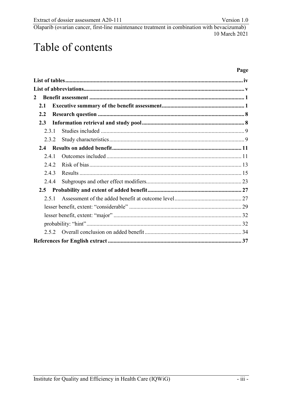# Table of contents

# Page

| 2     |  |
|-------|--|
| 2.1   |  |
| 2.2   |  |
| 2.3   |  |
| 2.3.1 |  |
| 2.3.2 |  |
|       |  |
| 2.4.1 |  |
| 2.4.2 |  |
| 2.4.3 |  |
| 2.4.4 |  |
| 2.5   |  |
| 2.5.1 |  |
|       |  |
|       |  |
|       |  |
| 2.5.2 |  |
|       |  |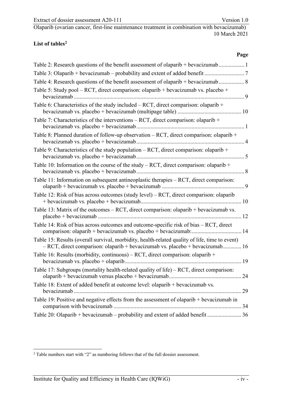#### <span id="page-4-0"></span>**List of table[s2](#page-4-1)**

-

10 March 2021

**Page** 

<span id="page-4-1"></span> $2$  Table numbers start with "2" as numbering follows that of the full dossier assessment.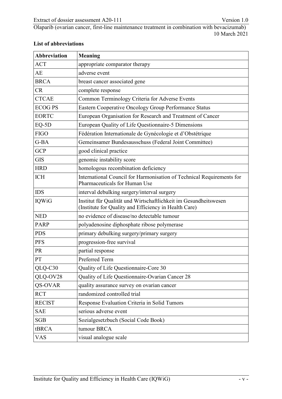| <b>Abbreviation</b> | <b>Meaning</b>                                                                                                            |
|---------------------|---------------------------------------------------------------------------------------------------------------------------|
| <b>ACT</b>          | appropriate comparator therapy                                                                                            |
| AE                  | adverse event                                                                                                             |
| <b>BRCA</b>         | breast cancer associated gene                                                                                             |
| CR                  | complete response                                                                                                         |
| <b>CTCAE</b>        | Common Terminology Criteria for Adverse Events                                                                            |
| <b>ECOG PS</b>      | Eastern Cooperative Oncology Group Performance Status                                                                     |
| <b>EORTC</b>        | European Organisation for Research and Treatment of Cancer                                                                |
| $EQ-5D$             | European Quality of Life Questionnaire-5 Dimensions                                                                       |
| <b>FIGO</b>         | Fédération Internationale de Gynécologie et d'Obstétrique                                                                 |
| G-BA                | Gemeinsamer Bundesausschuss (Federal Joint Committee)                                                                     |
| <b>GCP</b>          | good clinical practice                                                                                                    |
| <b>GIS</b>          | genomic instability score                                                                                                 |
| <b>HRD</b>          | homologous recombination deficiency                                                                                       |
| <b>ICH</b>          | International Council for Harmonisation of Technical Requirements for<br>Pharmaceuticals for Human Use                    |
| <b>IDS</b>          | interval debulking surgery/interval surgery                                                                               |
| <b>IQWiG</b>        | Institut für Qualität und Wirtschaftlichkeit im Gesundheitswesen<br>(Institute for Quality and Efficiency in Health Care) |
| <b>NED</b>          | no evidence of disease/no detectable tumour                                                                               |
| <b>PARP</b>         | polyadenosine diphosphate ribose polymerase                                                                               |
| <b>PDS</b>          | primary debulking surgery/primary surgery                                                                                 |
| <b>PFS</b>          | progression-free survival                                                                                                 |
| PR                  | partial response                                                                                                          |
| PT                  | Preferred Term                                                                                                            |
| QLQ-C30             | Quality of Life Questionnaire-Core 30                                                                                     |
| QLQ-OV28            | Quality of Life Questionnaire-Ovarian Cancer 28                                                                           |
| QS-OVAR             | quality assurance survey on ovarian cancer                                                                                |
| <b>RCT</b>          | randomized controlled trial                                                                                               |
| <b>RECIST</b>       | Response Evaluation Criteria in Solid Tumors                                                                              |
| <b>SAE</b>          | serious adverse event                                                                                                     |
| <b>SGB</b>          | Sozialgesetzbuch (Social Code Book)                                                                                       |
| tBRCA               | tumour BRCA                                                                                                               |
| VAS                 | visual analogue scale                                                                                                     |

# <span id="page-5-0"></span>**List of abbreviations**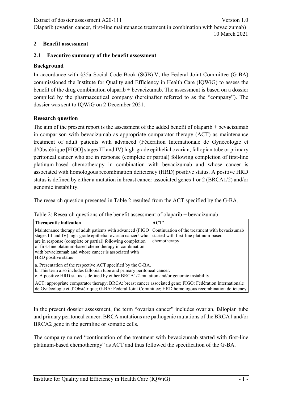#### <span id="page-6-0"></span>**2 Benefit assessment**

#### <span id="page-6-1"></span>**2.1 Executive summary of the benefit assessment**

#### **Background**

In accordance with §35a Social Code Book (SGB) V, the Federal Joint Committee (G-BA) commissioned the Institute for Quality and Efficiency in Health Care (IQWiG) to assess the benefit of the drug combination olaparib + bevacizumab. The assessment is based on a dossier compiled by the pharmaceutical company (hereinafter referred to as the "company"). The dossier was sent to IQWiG on 2 December 2021.

#### **Research question**

The aim of the present report is the assessment of the added benefit of olaparib + bevacizumab in comparison with bevacizumab as appropriate comparator therapy (ACT) as maintenance treatment of adult patients with advanced (Fédération Internationale de Gynécologie et d'Obstétrique [FIGO] stages III and IV) high-grade epithelial ovarian, fallopian tube or primary peritoneal cancer who are in response (complete or partial) following completion of first-line platinum-based chemotherapy in combination with bevacizumab and whose cancer is associated with homologous recombination deficiency (HRD) positive status. A positive HRD status is defined by either a mutation in breast cancer associated genes 1 or 2 (BRCA1/2) and/or genomic instability.

The research question presented in [Table 2](#page-6-3) resulted from the ACT specified by the G-BA.

<span id="page-6-3"></span><span id="page-6-2"></span>

|  | Table 2: Research questions of the benefit assessment of olaparib $+$ bevacizumab |
|--|-----------------------------------------------------------------------------------|
|  |                                                                                   |

| Therapeutic indication                                                                                                                                                                                                                                                                                                                                                                                                                            | $ACT^a$      |
|---------------------------------------------------------------------------------------------------------------------------------------------------------------------------------------------------------------------------------------------------------------------------------------------------------------------------------------------------------------------------------------------------------------------------------------------------|--------------|
| Maintenance therapy of adult patients with advanced (FIGO Continuation of the treatment with bevacizumab<br>stages III and IV) high-grade epithelial ovarian cancer <sup>b</sup> who started with first-line platinum-based<br>are in response (complete or partial) following completion<br>of first-line platinum-based chemotherapy in combination<br>with bevacizumab and whose cancer is associated with<br>HRD positive status <sup>c</sup> | chemotherapy |
| a. Presentation of the respective ACT specified by the G-BA.                                                                                                                                                                                                                                                                                                                                                                                      |              |

b. This term also includes fallopian tube and primary peritoneal cancer.

c. A positive HRD status is defined by either BRCA1/2-mutation and/or genomic instability.

ACT: appropriate comparator therapy; BRCA: breast cancer associated gene; FIGO: Fédération Internationale de Gynécologie et d'Obstétrique; G-BA: Federal Joint Committee; HRD homologous recombination deficiency

In the present dossier assessment, the term "ovarian cancer" includes ovarian, fallopian tube and primary peritoneal cancer. BRCA mutations are pathogenic mutations of the BRCA1 and/or BRCA2 gene in the germline or somatic cells.

The company named "continuation of the treatment with bevacizumab started with first-line platinum-based chemotherapy" as ACT and thus followed the specification of the G-BA.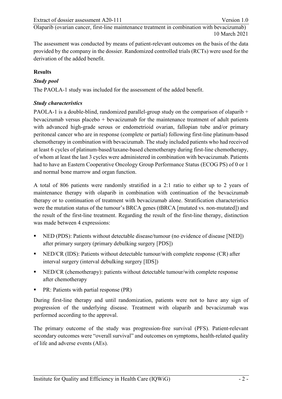The assessment was conducted by means of patient-relevant outcomes on the basis of the data provided by the company in the dossier. Randomized controlled trials (RCTs) were used for the derivation of the added benefit.

#### **Results**

#### *Study pool*

The PAOLA-1 study was included for the assessment of the added benefit.

#### *Study characteristics*

PAOLA-1 is a double-blind, randomized parallel-group study on the comparison of olaparib + bevacizumab versus placebo + bevacizumab for the maintenance treatment of adult patients with advanced high-grade serous or endometrioid ovarian, fallopian tube and/or primary peritoneal cancer who are in response (complete or partial) following first-line platinum-based chemotherapy in combination with bevacizumab. The study included patients who had received at least 6 cycles of platinum-based/taxane-based chemotherapy during first-line chemotherapy, of whom at least the last 3 cycles were administered in combination with bevacizumab. Patients had to have an Eastern Cooperative Oncology Group Performance Status (ECOG PS) of 0 or 1 and normal bone marrow and organ function.

A total of 806 patients were randomly stratified in a 2:1 ratio to either up to 2 years of maintenance therapy with olaparib in combination with continuation of the bevacizumab therapy or to continuation of treatment with bevacizumab alone. Stratification characteristics were the mutation status of the tumour's BRCA genes (tBRCA [mutated vs. non-mutated]) and the result of the first-line treatment. Regarding the result of the first-line therapy, distinction was made between 4 expressions:

- NED (PDS): Patients without detectable disease/tumour (no evidence of disease [NED]) after primary surgery (primary debulking surgery [PDS])
- NED/CR (IDS): Patients without detectable tumour/with complete response (CR) after interval surgery (interval debulking surgery [IDS])
- NED/CR (chemotherapy): patients without detectable tumour/with complete response after chemotherapy
- PR: Patients with partial response (PR)

During first-line therapy and until randomization, patients were not to have any sign of progression of the underlying disease. Treatment with olaparib and bevacizumab was performed according to the approval.

The primary outcome of the study was progression-free survival (PFS). Patient-relevant secondary outcomes were "overall survival" and outcomes on symptoms, health-related quality of life and adverse events (AEs).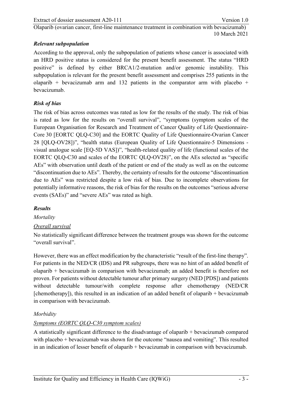# *Relevant subpopulation*

According to the approval, only the subpopulation of patients whose cancer is associated with an HRD positive status is considered for the present benefit assessment. The status "HRD positive" is defined by either BRCA1/2-mutation and/or genomic instability. This subpopulation is relevant for the present benefit assessment and comprises 255 patients in the olaparib + bevacizumab arm and 132 patients in the comparator arm with placebo + bevacizumab.

# *Risk of bias*

The risk of bias across outcomes was rated as low for the results of the study. The risk of bias is rated as low for the results on "overall survival", "symptoms (symptom scales of the European Organisation for Research and Treatment of Cancer Quality of Life Questionnaire-Core 30 [EORTC QLQ-C30] and the EORTC Quality of Life Questionnaire-Ovarian Cancer 28 [QLQ-OV28])", "health status (European Quality of Life Questionnaire-5 Dimensions visual analogue scale [EQ-5D VAS])", "health-related quality of life (functional scales of the EORTC QLQ-C30 and scales of the EORTC QLQ-OV28)", on the AEs selected as "specific AEs" with observation until death of the patient or end of the study as well as on the outcome "discontinuation due to AEs". Thereby, the certainty of results for the outcome "discontinuation due to AEs" was restricted despite a low risk of bias. Due to incomplete observations for potentially informative reasons, the risk of bias for the results on the outcomes "serious adverse events (SAEs)" and "severe AEs" was rated as high.

#### *Results*

*Mortality*

# *Overall survival*

No statistically significant difference between the treatment groups was shown for the outcome "overall survival".

However, there was an effect modification by the characteristic "result of the first-line therapy". For patients in the NED/CR (IDS) and PR subgroups, there was no hint of an added benefit of olaparib + bevacizumab in comparison with bevacizumab; an added benefit is therefore not proven. For patients without detectable tumour after primary surgery (NED [PDS]) and patients without detectable tumour/with complete response after chemotherapy (NED/CR [chemotherapy]), this resulted in an indication of an added benefit of olaparib  $+$  bevacizumab in comparison with bevacizumab.

# *Morbidity*

# *Symptoms (EORTC QLQ-C30 symptom scales)*

A statistically significant difference to the disadvantage of olaparib + bevacizumab compared with placebo + bevacizumab was shown for the outcome "nausea and vomiting". This resulted in an indication of lesser benefit of olaparib + bevacizumab in comparison with bevacizumab.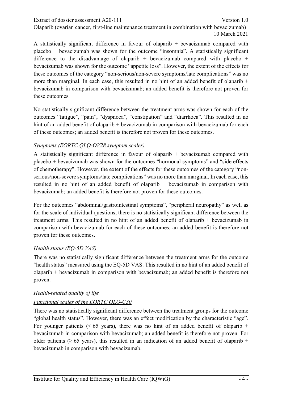A statistically significant difference in favour of olaparib + bevacizumab compared with placebo + bevacizumab was shown for the outcome "insomnia". A statistically significant difference to the disadvantage of olaparib + bevacizumab compared with placebo + bevacizumab was shown for the outcome "appetite loss". However, the extent of the effects for these outcomes of the category "non-serious/non-severe symptoms/late complications" was no more than marginal. In each case, this resulted in no hint of an added benefit of olaparib  $+$ bevacizumab in comparison with bevacizumab; an added benefit is therefore not proven for these outcomes.

No statistically significant difference between the treatment arms was shown for each of the outcomes "fatigue", "pain", "dyspnoea", "constipation" and "diarrhoea". This resulted in no hint of an added benefit of olaparib + bevacizumab in comparison with bevacizumab for each of these outcomes; an added benefit is therefore not proven for these outcomes.

#### *Symptoms (EORTC QLQ-OV28 symptom scales)*

A statistically significant difference in favour of olaparib  $+$  bevacizumab compared with placebo + bevacizumab was shown for the outcomes "hormonal symptoms" and "side effects of chemotherapy". However, the extent of the effects for these outcomes of the category "nonserious/non-severe symptoms/late complications" was no more than marginal. In each case, this resulted in no hint of an added benefit of olaparib  $+$  bevacizumab in comparison with bevacizumab; an added benefit is therefore not proven for these outcomes.

For the outcomes "abdominal/gastrointestinal symptoms", "peripheral neuropathy" as well as for the scale of individual questions, there is no statistically significant difference between the treatment arms. This resulted in no hint of an added benefit of olaparib + bevacizumab in comparison with bevacizumab for each of these outcomes; an added benefit is therefore not proven for these outcomes.

#### *Health status (EQ-5D VAS)*

There was no statistically significant difference between the treatment arms for the outcome "health status" measured using the EQ-5D VAS. This resulted in no hint of an added benefit of olaparib + bevacizumab in comparison with bevacizumab; an added benefit is therefore not proven.

#### *Health-related quality of life*

# *Functional scales of the EORTC QLQ-C30*

There was no statistically significant difference between the treatment groups for the outcome "global health status". However, there was an effect modification by the characteristic "age". For younger patients ( $< 65$  years), there was no hint of an added benefit of olaparib + bevacizumab in comparison with bevacizumab; an added benefit is therefore not proven. For older patients ( $\geq 65$  years), this resulted in an indication of an added benefit of olaparib + bevacizumab in comparison with bevacizumab.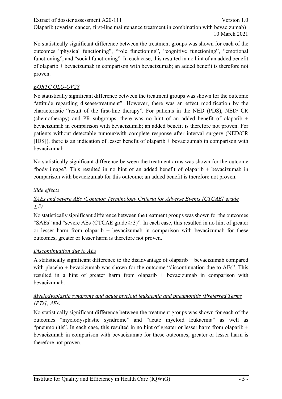No statistically significant difference between the treatment groups was shown for each of the outcomes "physical functioning", "role functioning", "cognitive functioning", "emotional functioning", and "social functioning". In each case, this resulted in no hint of an added benefit of olaparib + bevacizumab in comparison with bevacizumab; an added benefit is therefore not proven.

# *EORTC QLQ-OV28*

No statistically significant difference between the treatment groups was shown for the outcome "attitude regarding disease/treatment". However, there was an effect modification by the characteristic "result of the first-line therapy". For patients in the NED (PDS), NED/ CR (chemotherapy) and PR subgroups, there was no hint of an added benefit of olaparib  $+$ bevacizumab in comparison with bevacizumab; an added benefit is therefore not proven. For patients without detectable tumour/with complete response after interval surgery (NED/CR [IDS]), there is an indication of lesser benefit of olaparib + bevacizumab in comparison with bevacizumab.

No statistically significant difference between the treatment arms was shown for the outcome "body image". This resulted in no hint of an added benefit of olaparib + bevacizumab in comparison with bevacizumab for this outcome; an added benefit is therefore not proven.

# *Side effects*

# *SAEs and severe AEs (Common Terminology Criteria for Adverse Events [CTCAE] grade ≥ 3)*

No statistically significant difference between the treatment groups was shown for the outcomes "SAEs" and "severe AEs (CTCAE grade  $\geq$  3)". In each case, this resulted in no hint of greater or lesser harm from olaparib  $+$  bevacizumab in comparison with bevacizumab for these outcomes; greater or lesser harm is therefore not proven.

# *Discontinuation due to AEs*

A statistically significant difference to the disadvantage of olaparib + bevacizumab compared with placebo + bevacizumab was shown for the outcome "discontinuation due to AEs". This resulted in a hint of greater harm from olaparib + bevacizumab in comparison with bevacizumab.

# *Myelodysplastic syndrome and acute myeloid leukaemia and pneumonitis (Preferred Terms [PTs], AEs)*

No statistically significant difference between the treatment groups was shown for each of the outcomes "myelodysplastic syndrome" and "acute myeloid leukaemia" as well as "pneumonitis". In each case, this resulted in no hint of greater or lesser harm from olaparib + bevacizumab in comparison with bevacizumab for these outcomes; greater or lesser harm is therefore not proven.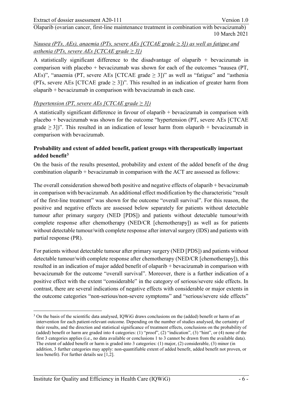# *Nausea (PTs, AEs), anaemia (PTs, severe AEs [CTCAE grade ≥ 3]) as well as fatigue and asthenia (PTs, severe AEs [CTCAE grade ≥ 3])*

A statistically significant difference to the disadvantage of olaparib  $+$  bevacizumab in comparison with placebo + bevacizumab was shown for each of the outcomes "nausea (PT, AEs)", "anaemia (PT, severe AEs [CTCAE grade  $\geq$  3])" as well as "fatigue" and "asthenia (PTs, severe AEs [CTCAE grade  $\geq$  3])". This resulted in an indication of greater harm from olaparib + bevacizumab in comparison with bevacizumab in each case.

# *Hypertension (PT, severe AEs [CTCAE grade ≥ 3])*

A statistically significant difference in favour of olaparib  $+$  bevacizumab in comparison with placebo + bevacizumab was shown for the outcome "hypertension (PT, severe AEs [CTCAE grade  $\geq$  3])". This resulted in an indication of lesser harm from olaparib + bevacizumab in comparison with bevacizumab.

# **Probability and extent of added benefit, patient groups with therapeutically important added benefit[3](#page-11-0)**

On the basis of the results presented, probability and extent of the added benefit of the drug combination olaparib + bevacizumab in comparison with the ACT are assessed as follows:

The overall consideration showed both positive and negative effects of olaparib + bevacizumab in comparison with bevacizumab. An additional effect modification by the characteristic "result of the first-line treatment" was shown for the outcome "overall survival". For this reason, the positive and negative effects are assessed below separately for patients without detectable tumour after primary surgery (NED [PDS]) and patients without detectable tumour/with complete response after chemotherapy (NED/CR [chemotherapy]) as well as for patients without detectable tumour/with complete response after interval surgery (IDS) and patients with partial response (PR).

For patients without detectable tumour after primary surgery (NED [PDS]) and patients without detectable tumour/with complete response after chemotherapy (NED/CR [chemotherapy]), this resulted in an indication of major added benefit of olaparib + bevacizumab in comparison with bevacizumab for the outcome "overall survival". Moreover, there is a further indication of a positive effect with the extent "considerable" in the category of serious/severe side effects. In contrast, there are several indications of negative effects with considerable or major extents in the outcome categories "non-serious/non-severe symptoms" and "serious/severe side effects"

<span id="page-11-0"></span><sup>-</sup><sup>3</sup> On the basis of the scientific data analysed, IOWiG draws conclusions on the (added) benefit or harm of an intervention for each patient-relevant outcome. Depending on the number of studies analysed, the certainty of their results, and the direction and statistical significance of treatment effects, conclusions on the probability of (added) benefit or harm are graded into 4 categories: (1) "proof", (2) "indication", (3) "hint", or (4) none of the first 3 categories applies (i.e., no data available or conclusions 1 to 3 cannot be drawn from the available data). The extent of added benefit or harm is graded into 3 categories: (1) major, (2) considerable, (3) minor (in addition, 3 further categories may apply: non-quantifiable extent of added benefit, added benefit not proven, or less benefit). For further details see [\[1,](#page-53-1)[2\]](#page-53-2).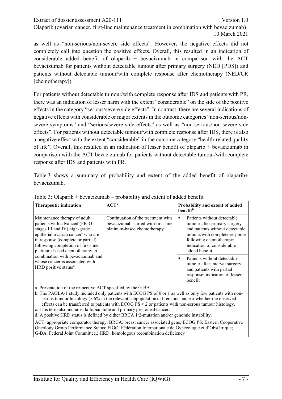as well as "non-serious/non-severe side effects". However, the negative effects did not completely call into question the positive effects. Overall, this resulted in an indication of considerable added benefit of olaparib  $+$  bevacizumab in comparison with the ACT bevacizumab for patients without detectable tumour after primary surgery (NED [PDS]) and patients without detectable tumour/with complete response after chemotherapy (NED/CR [chemotherapy]).

For patients without detectable tumour/with complete response after IDS and patients with PR, there was an indication of lesser harm with the extent "considerable" on the side of the positive effects in the category "serious/severe side effects". In contrast, there are several indications of negative effects with considerable or major extents in the outcome categories "non-serious/nonsevere symptoms" and "serious/severe side effects" as well as "non-serious/non-severe side effects". For patients without detectable tumour/with complete response after IDS, there is also a negative effect with the extent "considerable" in the outcome category "health-related quality of life". Overall, this resulted in an indication of lesser benefit of olaparib + bevacizumab in comparison with the ACT bevacizumab for patients without detectable tumour/with complete response after IDS and patients with PR.

[Table 3](#page-12-1) shows a summary of probability and extent of the added benefit of olaparib+ bevacizumab.

| Therapeutic indication                                                                                                                                                                                                                                                                                                                                                  | $ACT^a$                                                                                                  | Probability and extent of added<br><b>benefit</b> <sup>b</sup>                                                                                                                                                 |
|-------------------------------------------------------------------------------------------------------------------------------------------------------------------------------------------------------------------------------------------------------------------------------------------------------------------------------------------------------------------------|----------------------------------------------------------------------------------------------------------|----------------------------------------------------------------------------------------------------------------------------------------------------------------------------------------------------------------|
| Maintenance therapy of adult<br>patients with advanced (FIGO<br>stages III and IV) high-grade<br>epithelial ovarian cancer <sup>c</sup> who are<br>in response (complete or partial)<br>following completion of first-line<br>platinum-based chemotherapy in<br>combination with bevacizumab and<br>whose cancer is associated with<br>HRD positive status <sup>d</sup> | Continuation of the treatment with<br>bevacizumab started with first-line<br>platinum-based chemotherapy | Patients without detectable<br>٠<br>tumour after primary surgery<br>and patients without detectable<br>tumour/with complete response<br>following chemotherapy:<br>indication of considerable<br>added benefit |
|                                                                                                                                                                                                                                                                                                                                                                         |                                                                                                          | Patients without detectable<br>tumour after interval surgery<br>and patients with partial<br>response: indication of lesser<br>benefit                                                                         |

<span id="page-12-1"></span><span id="page-12-0"></span>Table 3: Olaparib + bevacizumab – probability and extent of added benefit

a. Presentation of the respective ACT specified by the G-BA.

b. The PAOLA-1 study included only patients with ECOG PS of 0 or 1 as well as only few patients with nonserous tumour histology (5.6% in the relevant subpopulation). It remains unclear whether the observed effects can be transferred to patients with ECOG  $PS \ge 2$  or patients with non-serous tumour histology.

c. This term also includes fallopian tube and primary peritoneal cancer.

d. A positive HRD status is defined by either BRCA 1/2-mutation and/or genomic instability.

ACT: appropriate comparator therapy; BRCA: breast cancer associated gene; ECOG PS: Eastern Cooperative Oncology Group Performance Status; FIGO: Fédération Internationale de Gynécologie et d'Obstétrique; G-BA: Federal Joint Committee.; HRD: homologous recombination deficiency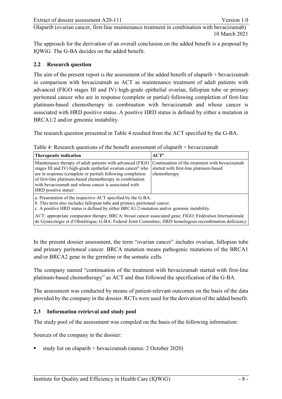The approach for the derivation of an overall conclusion on the added benefit is a proposal by IQWiG. The G-BA decides on the added benefit.

### <span id="page-13-0"></span>**2.2 Research question**

The aim of the present report is the assessment of the added benefit of olaparib + bevacizumab in comparison with bevacizumab as ACT as maintenance treatment of adult patients with advanced (FIGO stages III and IV) high-grade epithelial ovarian, fallopian tube or primary peritoneal cancer who are in response (complete or partial) following completion of first-line platinum-based chemotherapy in combination with bevacizumab and whose cancer is associated with HRD positive status. A positive HRD status is defined by either a mutation in BRCA1/2 and/or genomic instability.

The research question presented in [Table 4](#page-13-3) resulted from the ACT specified by the G-BA.

| Therapeutic indication                                                                                                                                                                                                                                                                                                                                         | $ACT^a$                                                                                                  |  |  |  |
|----------------------------------------------------------------------------------------------------------------------------------------------------------------------------------------------------------------------------------------------------------------------------------------------------------------------------------------------------------------|----------------------------------------------------------------------------------------------------------|--|--|--|
| Maintenance therapy of adult patients with advanced (FIGO)<br>stages III and IV) high-grade epithelial ovarian cancer <sup>b</sup> who<br>are in response (complete or partial) following completion<br>of first-line platinum-based chemotherapy in combination<br>with bevacizumab and whose cancer is associated with<br>HRD positive status <sup>c</sup> . | Continuation of the treatment with bevacizumab<br>started with first-line platinum-based<br>chemotherapy |  |  |  |
| a. Presentation of the respective ACT specified by the G-BA.<br>b. This term also includes fallopian tube and primary peritoneal cancer.<br>c. A positive HRD status is defined by either BRCA1/2-mutation and/or genomic instability.                                                                                                                         |                                                                                                          |  |  |  |
| ACT: appropriate comparator therapy; BRCA: breast cancer associated gene; FIGO: Fédération Internationale                                                                                                                                                                                                                                                      |                                                                                                          |  |  |  |

<span id="page-13-3"></span><span id="page-13-2"></span>Table 4: Research questions of the benefit assessment of olaparib + bevacizumab

In the present dossier assessment, the term "ovarian cancer" includes ovarian, fallopian tube and primary peritoneal cancer. BRCA mutation means pathogenic mutations of the BRCA1 and/or BRCA2 gene in the germline or the somatic cells.

de Gynécologie et d'Obstétrique; G-BA: Federal Joint Committee; HRD homologous recombination deficiency

The company named "continuation of the treatment with bevacizumab started with first-line platinum-based chemotherapy" as ACT and thus followed the specification of the G-BA.

The assessment was conducted by means of patient-relevant outcomes on the basis of the data provided by the company in the dossier. RCTs were used for the derivation of the added benefit.

# <span id="page-13-1"></span>**2.3 Information retrieval and study pool**

The study pool of the assessment was compiled on the basis of the following information:

Sources of the company in the dossier:

study list on olaparib + bevacizumab (status: 2 October 2020)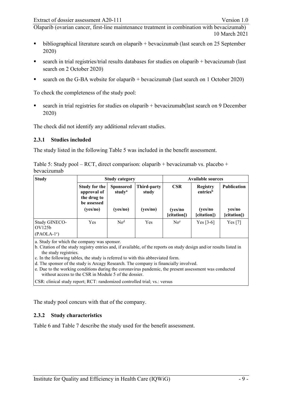- $\bullet$  bibliographical literature search on olaparib + bevacizumab (last search on 25 September 2020)
- search in trial registries/trial results databases for studies on olaparib + bevacizumab (last search on 2 October 2020)
- search on the G-BA website for olaparib + bevacizumab (last search on 1 October 2020)

To check the completeness of the study pool:

 search in trial registries for studies on olaparib + bevacizumab(last search on 9 December 2020)

The check did not identify any additional relevant studies.

#### <span id="page-14-0"></span>**2.3.1 Studies included**

The study listed in the following [Table 5](#page-14-3) was included in the benefit assessment.

<span id="page-14-3"></span><span id="page-14-2"></span>

| Table 5: Study pool – RCT, direct comparison: olaparib + bevacizumab vs. placebo + |  |  |
|------------------------------------------------------------------------------------|--|--|
| bevacizumab                                                                        |  |  |

| <b>Study</b>                                  | Study category                                             |                                        |                      | <b>Available sources</b> |                                         |                       |
|-----------------------------------------------|------------------------------------------------------------|----------------------------------------|----------------------|--------------------------|-----------------------------------------|-----------------------|
|                                               | Study for the<br>approval of<br>the drug to<br>be assessed | <b>Sponsored</b><br>study <sup>a</sup> | Third-party<br>study | <b>CSR</b>               | <b>Registry</b><br>entries <sup>b</sup> | <b>Publication</b>    |
|                                               | (yes/no)                                                   | (yes/no)                               | (yes/no)             | (yes/no<br>[citation])   | (yes/no<br>[citation])                  | yes/no<br>[citation]) |
| Study GINECO-<br>$\overline{\mathrm{OV125b}}$ | Yes                                                        | No <sup>d</sup>                        | Yes                  | No <sup>e</sup>          | Yes $[3-6]$                             | Yes $[7]$             |
| $(PAOLA-1c)$                                  |                                                            |                                        |                      |                          |                                         |                       |

a. Study for which the company was sponsor.

b. Citation of the study registry entries and, if available, of the reports on study design and/or results listed in the study registries.

c. In the following tables, the study is referred to with this abbreviated form.

d. The sponsor of the study is Arcagy Research. The company is financially involved.

e. Due to the working conditions during the coronavirus pandemic, the present assessment was conducted without access to the CSR in Module 5 of the dossier.

CSR: clinical study report; RCT: randomized controlled trial; vs.: versus

The study pool concurs with that of the company.

#### <span id="page-14-1"></span>**2.3.2 Study characteristics**

[Table 6](#page-15-1) and [Table 7](#page-17-1) describe the study used for the benefit assessment.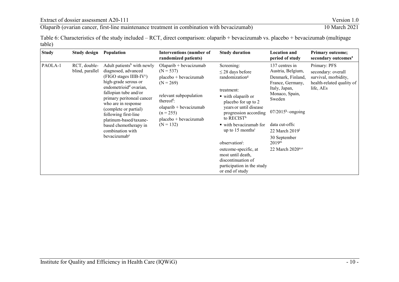Extract of dossier assessment A20-111 Version 1.0<br>
Olaparib (ovarian cancer, first-line maintenance treatment in combination with bevacizumab) 10 March 2021 Olaparib (ovarian cancer, first-line maintenance treatment in combination with bevacizumab)

Table 6: Characteristics of the study included – RCT, direct comparison: olaparib + bevacizumab vs. placebo + bevacizumab (multipage table)

<span id="page-15-1"></span><span id="page-15-0"></span>

| <b>Study</b> | Study design                    | <b>Population</b>                                                                                                                                                                                                                                                                                                                                                                                   | <b>Interventions (number of</b><br>randomized patients)                                                                                                                                                                                        | <b>Study duration</b>                                                                                                                                                                                                                                                                                                                                                                                                   | <b>Location and</b><br>period of study                                                                                                                                                                                                               | <b>Primary outcome;</b><br>secondary outcomes <sup>a</sup>                                           |
|--------------|---------------------------------|-----------------------------------------------------------------------------------------------------------------------------------------------------------------------------------------------------------------------------------------------------------------------------------------------------------------------------------------------------------------------------------------------------|------------------------------------------------------------------------------------------------------------------------------------------------------------------------------------------------------------------------------------------------|-------------------------------------------------------------------------------------------------------------------------------------------------------------------------------------------------------------------------------------------------------------------------------------------------------------------------------------------------------------------------------------------------------------------------|------------------------------------------------------------------------------------------------------------------------------------------------------------------------------------------------------------------------------------------------------|------------------------------------------------------------------------------------------------------|
| PAOLA-1      | RCT, double-<br>blind, parallel | Adult patients <sup>b</sup> with newly<br>diagnosed, advanced<br>(FIGO stages IIIB-IV <sup>c</sup> )<br>high-grade serous or<br>endometrioid <sup>d</sup> ovarian,<br>fallopian tube and/or<br>primary peritoneal cancer<br>who are in response<br>(complete or partial)<br>following first-line<br>platinum-based/taxane-<br>based chemotherapy in<br>combination with<br>bevacizumab <sup>e</sup> | $Olaparib + bevacizumab$<br>$(N = 537)$<br>$placebo + bevacizumab$<br>$(N = 269)$<br>relevant subpopulation<br>thereof <sup><math>\ddagger</math></sup> :<br>$olaparib + bevacizumab$<br>$(n = 255)$<br>$placebo + bevacizumab$<br>$(N = 132)$ | Screening:<br>$\leq$ 28 days before<br>randomization <sup>g</sup><br>treatment:<br>■ with olaparib or<br>placebo for up to 2<br>years or until disease<br>progression according<br>to RECIST <sup>h</sup><br>■ with bevacizumab for<br>up to $15$ months <sup>1</sup><br>observation <sup>1</sup> :<br>outcome-specific, at<br>most until death,<br>discontinuation of<br>participation in the study<br>or end of study | 137 centres in<br>Austria, Belgium,<br>Denmark, Finland,<br>France, Germany,<br>Italy, Japan,<br>Monaco, Spain,<br>Sweden<br>$07/2015k$ -ongoing<br>data cut-offs:<br>22 March $20191$<br>30 September<br>2019 <sup>m</sup><br>22 March $2020^{n,o}$ | Primary: PFS<br>secondary: overall<br>survival, morbidity,<br>health-related quality of<br>life, AEs |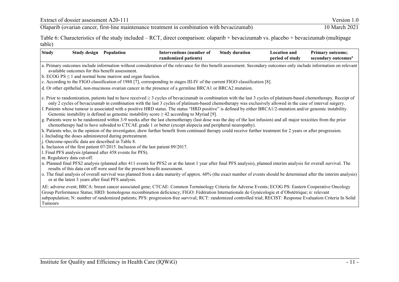Extract of dossier assessment A20-111 Version 1.0<br>
Olaparib (ovarian cancer, first-line maintenance treatment in combination with bevacizumab) 10 March 2021 Olaparib (ovarian cancer, first-line maintenance treatment in combination with bevacizumab)

Table 6: Characteristics of the study included – RCT, direct comparison: olaparib + bevacizumab vs. placebo + bevacizumab (multipage table)

|         |                             | <b>Study design Population</b>                                | <b>Interventions (number of</b><br>randomized patients)                                                                                                                                                                                                                                                                                                                                                                                                                                                                                                                                                    | <b>Study duration</b> | <b>Location and</b><br>period of study | <b>Primary outcome:</b><br>secondary outcomes <sup>a</sup> |
|---------|-----------------------------|---------------------------------------------------------------|------------------------------------------------------------------------------------------------------------------------------------------------------------------------------------------------------------------------------------------------------------------------------------------------------------------------------------------------------------------------------------------------------------------------------------------------------------------------------------------------------------------------------------------------------------------------------------------------------------|-----------------------|----------------------------------------|------------------------------------------------------------|
|         |                             | available outcomes for this benefit assessment.               | a. Primary outcomes include information without consideration of the relevance for this benefit assessment. Secondary outcomes only include information on relevant                                                                                                                                                                                                                                                                                                                                                                                                                                        |                       |                                        |                                                            |
|         |                             | b. ECOG $PS \le 1$ and normal bone marrow and organ function. |                                                                                                                                                                                                                                                                                                                                                                                                                                                                                                                                                                                                            |                       |                                        |                                                            |
|         |                             |                                                               | c. According to the FIGO classification of 1988 [7], corresponding to stages III-IV of the current FIGO classification [8].                                                                                                                                                                                                                                                                                                                                                                                                                                                                                |                       |                                        |                                                            |
|         |                             |                                                               | d. Or other epithelial, non-mucinous ovarian cancer in the presence of a germline BRCA1 or BRCA2 mutation.                                                                                                                                                                                                                                                                                                                                                                                                                                                                                                 |                       |                                        |                                                            |
|         |                             |                                                               | e. Prior to randomization, patients had to have received $\geq 3$ cycles of bevacizumab in combination with the last 3 cycles of platinum-based chemotherapy. Receipt of<br>only 2 cycles of bevacizumab in combination with the last 3 cycles of platinum-based chemotherapy was exclusively allowed in the case of interval surgery.<br>f. Patients whose tumour is associated with a positive HRD status. The status "HRD positive" is defined by either BRCA1/2-mutation and/or genomic instability.<br>Genomic instability is defined as genomic instability score $\geq 42$ according to Myriad [9]. |                       |                                        |                                                            |
|         |                             |                                                               | g. Patients were to be randomized within 3-9 weeks after the last chemotherapy (last dose was the day of the last infusion) and all major toxicities from the prior<br>chemotherapy had to have subsided to CTCAE grade 1 or better (except alopecia and peripheral neuropathy).                                                                                                                                                                                                                                                                                                                           |                       |                                        |                                                            |
|         |                             |                                                               | h. Patients who, in the opinion of the investigator, drew further benefit from continued therapy could receive further treatment for 2 years or after progression.                                                                                                                                                                                                                                                                                                                                                                                                                                         |                       |                                        |                                                            |
|         |                             | i. Including the doses administered during pretreatment.      |                                                                                                                                                                                                                                                                                                                                                                                                                                                                                                                                                                                                            |                       |                                        |                                                            |
|         |                             | j. Outcome-specific data are described in Table 8.            |                                                                                                                                                                                                                                                                                                                                                                                                                                                                                                                                                                                                            |                       |                                        |                                                            |
|         |                             |                                                               | k. Inclusion of the first patient 07/2015. Inclusion of the last patient 09/2017.                                                                                                                                                                                                                                                                                                                                                                                                                                                                                                                          |                       |                                        |                                                            |
|         |                             | l. Final PFS analysis (planned after 458 events for PFS).     |                                                                                                                                                                                                                                                                                                                                                                                                                                                                                                                                                                                                            |                       |                                        |                                                            |
|         | m. Regulatory data cut-off. |                                                               | n. Planned final PFS2 analysis (planned after 411 events for PFS2 or at the latest 1 year after final PFS analysis), planned interim analysis for overall survival. The<br>results of this data cut off were used for the present benefit assessment.                                                                                                                                                                                                                                                                                                                                                      |                       |                                        |                                                            |
|         |                             | or at the latest 3 years after final PFS analysis.            | o. The final analysis of overall survival was planned from a data maturity of approx. 60% (the exact number of events should be determined after the interim analysis)                                                                                                                                                                                                                                                                                                                                                                                                                                     |                       |                                        |                                                            |
| Tumours |                             |                                                               | AE: adverse event; BRCA: breast cancer associated gene; CTCAE: Common Terminology Criteria for Adverse Events; ECOG PS: Eastern Cooperative Oncology<br>Group Performance Status; HRD: homologous recombination deficiency; FIGO: Fédération Internationale de Gynécologie et d'Obstétrique; n: relevant<br>subpopulation; N: number of randomized patients; PFS: progression-free survival; RCT: randomized controlled trial; RECIST: Response Evaluation Criteria In Solid                                                                                                                               |                       |                                        |                                                            |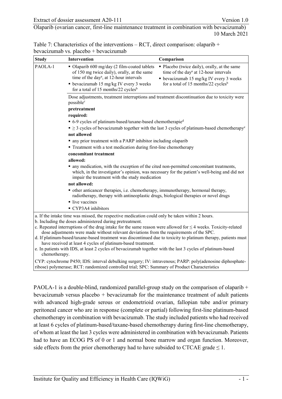<span id="page-17-1"></span><span id="page-17-0"></span>

| Table 7: Characteristics of the interventions $- RCT$ , direct comparison: olaparib $+$ |  |
|-----------------------------------------------------------------------------------------|--|
| bevacizumab vs. placebo + bevacizumab                                                   |  |

| <b>Study</b>                                                                                                | <b>Intervention</b>                                                                                                                                                                                                                              | Comparison                                                                                                                                                                                      |  |  |  |  |  |  |
|-------------------------------------------------------------------------------------------------------------|--------------------------------------------------------------------------------------------------------------------------------------------------------------------------------------------------------------------------------------------------|-------------------------------------------------------------------------------------------------------------------------------------------------------------------------------------------------|--|--|--|--|--|--|
| PAOLA-1                                                                                                     | • Olaparib 600 mg/day (2 film-coated tablets<br>of 150 mg twice daily), orally, at the same<br>time of the day <sup>a</sup> , at 12-hour intervals<br>• bevacizumab 15 mg/kg IV every 3 weeks<br>for a total of 15 months/22 cycles <sup>b</sup> | • Placebo (twice daily), orally, at the same<br>time of the day <sup>a</sup> at 12-hour intervals<br>• bevacizumab 15 mg/kg IV every 3 weeks<br>for a total of 15 months/22 cycles <sup>b</sup> |  |  |  |  |  |  |
|                                                                                                             | Dose adjustments, treatment interruptions and treatment discontinuation due to toxicity were<br>possible <sup>c</sup>                                                                                                                            |                                                                                                                                                                                                 |  |  |  |  |  |  |
|                                                                                                             | pretreatment                                                                                                                                                                                                                                     |                                                                                                                                                                                                 |  |  |  |  |  |  |
|                                                                                                             | required:                                                                                                                                                                                                                                        |                                                                                                                                                                                                 |  |  |  |  |  |  |
|                                                                                                             | • 6-9 cycles of platinum-based/taxane-based chemotherapied                                                                                                                                                                                       |                                                                                                                                                                                                 |  |  |  |  |  |  |
|                                                                                                             | $\blacksquare \geq 3$ cycles of bevacizumab together with the last 3 cycles of platinum-based chemotherapy <sup>e</sup>                                                                                                                          |                                                                                                                                                                                                 |  |  |  |  |  |  |
|                                                                                                             | not allowed                                                                                                                                                                                                                                      |                                                                                                                                                                                                 |  |  |  |  |  |  |
|                                                                                                             | • any prior treatment with a PARP inhibitor including olaparib                                                                                                                                                                                   |                                                                                                                                                                                                 |  |  |  |  |  |  |
|                                                                                                             | • Treatment with a test medication during first-line chemotherapy                                                                                                                                                                                |                                                                                                                                                                                                 |  |  |  |  |  |  |
|                                                                                                             | concomitant treatment                                                                                                                                                                                                                            |                                                                                                                                                                                                 |  |  |  |  |  |  |
|                                                                                                             | allowed:                                                                                                                                                                                                                                         |                                                                                                                                                                                                 |  |  |  |  |  |  |
|                                                                                                             | • any medication, with the exception of the cited non-permitted concomitant treatments,<br>which, in the investigator's opinion, was necessary for the patient's well-being and did not<br>impair the treatment with the study medication        |                                                                                                                                                                                                 |  |  |  |  |  |  |
|                                                                                                             | not allowed:                                                                                                                                                                                                                                     |                                                                                                                                                                                                 |  |  |  |  |  |  |
|                                                                                                             | • other anticancer therapies, i.e. chemotherapy, immunotherapy, hormonal therapy,<br>radiotherapy, therapy with antineoplastic drugs, biological therapies or novel drugs                                                                        |                                                                                                                                                                                                 |  |  |  |  |  |  |
|                                                                                                             | $\blacksquare$ live vaccines                                                                                                                                                                                                                     |                                                                                                                                                                                                 |  |  |  |  |  |  |
|                                                                                                             | • CYP3A4 inhibitors                                                                                                                                                                                                                              |                                                                                                                                                                                                 |  |  |  |  |  |  |
|                                                                                                             | a. If the intake time was missed, the respective medication could only be taken within 2 hours.<br>b. Including the doses administered during pretreatment.                                                                                      |                                                                                                                                                                                                 |  |  |  |  |  |  |
|                                                                                                             | c. Repeated interruptions of the drug intake for the same reason were allowed for $\leq 4$ weeks. Toxicity-related<br>dose adjustments were made without relevant deviations from the requirements of the SPC.                                   |                                                                                                                                                                                                 |  |  |  |  |  |  |
|                                                                                                             | d. If platinum-based/taxane-based treatment was discontinued due to toxicity to platinum therapy, patients must                                                                                                                                  |                                                                                                                                                                                                 |  |  |  |  |  |  |
|                                                                                                             | have received at least 4 cycles of platinum-based treatment.                                                                                                                                                                                     |                                                                                                                                                                                                 |  |  |  |  |  |  |
| e. In patients with IDS, at least 2 cycles of bevacizumab together with the last 3 cycles of platinum-based |                                                                                                                                                                                                                                                  |                                                                                                                                                                                                 |  |  |  |  |  |  |

chemotherapy. CYP: cytochrome P450; IDS: interval debulking surgery; IV: intravenous; PARP: poly(adenosine diphosphate-

ribose) polymerase; RCT: randomized controlled trial; SPC: Summary of Product Characteristics

PAOLA-1 is a double-blind, randomized parallel-group study on the comparison of olaparib + bevacizumab versus placebo + bevacizumab for the maintenance treatment of adult patients with advanced high-grade serous or endometrioid ovarian, fallopian tube and/or primary peritoneal cancer who are in response (complete or partial) following first-line platinum-based chemotherapy in combination with bevacizumab. The study included patients who had received at least 6 cycles of platinum-based/taxane-based chemotherapy during first-line chemotherapy, of whom at least the last 3 cycles were administered in combination with bevacizumab. Patients had to have an ECOG PS of 0 or 1 and normal bone marrow and organ function. Moreover, side effects from the prior chemotherapy had to have subsided to CTCAE grade  $\leq 1$ .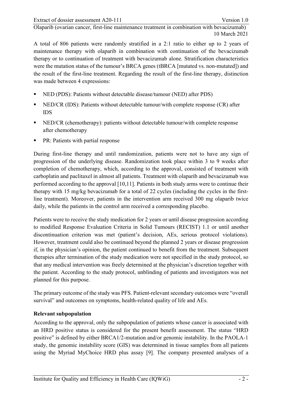A total of 806 patients were randomly stratified in a 2:1 ratio to either up to 2 years of maintenance therapy with olaparib in combination with continuation of the bevacizumab therapy or to continuation of treatment with bevacizumab alone. Stratification characteristics were the mutation status of the tumour's BRCA genes (tBRCA [mutated vs. non-mutated]) and the result of the first-line treatment. Regarding the result of the first-line therapy, distinction was made between 4 expressions:

- NED (PDS): Patients without detectable disease/tumour (NED) after PDS)
- NED/CR (IDS): Patients without detectable tumour/with complete response (CR) after IDS
- NED/CR (chemotherapy): patients without detectable tumour/with complete response after chemotherapy
- PR: Patients with partial response

During first-line therapy and until randomization, patients were not to have any sign of progression of the underlying disease. Randomization took place within 3 to 9 weeks after completion of chemotherapy, which, according to the approval, consisted of treatment with carboplatin and paclitaxel in almost all patients. Treatment with olaparib and bevacizumab was performed according to the approval [\[10,](#page-54-0)[11\]](#page-54-1). Patients in both study arms were to continue their therapy with 15 mg/kg bevacizumab for a total of 22 cycles (including the cycles in the firstline treatment). Moreover, patients in the intervention arm received 300 mg olaparib twice daily, while the patients in the control arm received a corresponding placebo.

Patients were to receive the study medication for 2 years or until disease progression according to modified Response Evaluation Criteria in Solid Tumours (RECIST) 1.1 or until another discontinuation criterion was met (patient's decision, AEs, serious protocol violations). However, treatment could also be continued beyond the planned 2 years or disease progression if, in the physician's opinion, the patient continued to benefit from the treatment. Subsequent therapies after termination of the study medication were not specified in the study protocol, so that any medical intervention was freely determined at the physician's discretion together with the patient. According to the study protocol, unblinding of patients and investigators was not planned for this purpose.

The primary outcome of the study was PFS. Patient-relevant secondary outcomes were "overall survival" and outcomes on symptoms, health-related quality of life and AEs.

#### **Relevant subpopulation**

According to the approval, only the subpopulation of patients whose cancer is associated with an HRD positive status is considered for the present benefit assessment. The status "HRD positive" is defined by either BRCA1/2-mutation and/or genomic instability. In the PAOLA-1 study, the genomic instability score (GIS) was determined in tissue samples from all patients using the Myriad MyChoice HRD plus assay [\[9\]](#page-53-8). The company presented analyses of a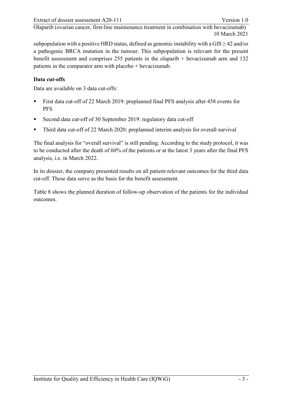subpopulation with a positive HRD status, defined as genomic instability with a GIS  $\geq$  42 and/or a pathogenic BRCA mutation in the tumour. This subpopulation is relevant for the present benefit assessment and comprises 255 patients in the olaparib + bevacizumab arm and 132 patients in the comparator arm with placebo + bevacizumab.

# **Data cut-offs**

Data are available on 3 data cut-offs:

- First data cut-off of 22 March 2019: preplanned final PFS analysis after 458 events for PFS
- Second data cut-off of 30 September 2019: regulatory data cut-off
- Third data cut-off of 22 March 2020: preplanned interim analysis for overall survival

The final analysis for "overall survival" is still pending. According to the study protocol, it was to be conducted after the death of 60% of the patients or at the latest 3 years after the final PFS analysis, i.e. in March 2022.

In its dossier, the company presented results on all patient-relevant outcomes for the third data cut-off. These data serve as the basis for the benefit assessment.

[Table 8](#page-20-0) shows the planned duration of follow-up observation of the patients for the individual outcomes.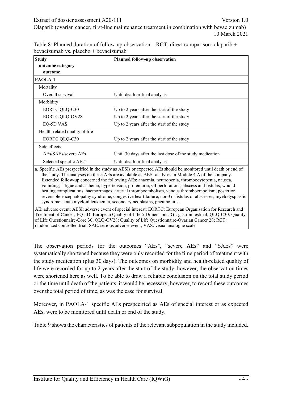<span id="page-20-1"></span><span id="page-20-0"></span>

| Table 8: Planned duration of follow-up observation $- RCT$ , direct comparison: olaparib $+$ |  |
|----------------------------------------------------------------------------------------------|--|
| bevacizumab vs. placebo + bevacizumab                                                        |  |

| <b>Study</b>                       | <b>Planned follow-up observation</b>                                                                                                                                                                             |  |  |  |  |
|------------------------------------|------------------------------------------------------------------------------------------------------------------------------------------------------------------------------------------------------------------|--|--|--|--|
| outcome category                   |                                                                                                                                                                                                                  |  |  |  |  |
| outcome                            |                                                                                                                                                                                                                  |  |  |  |  |
| PAOLA-1                            |                                                                                                                                                                                                                  |  |  |  |  |
| Mortality                          |                                                                                                                                                                                                                  |  |  |  |  |
| Overall survival                   | Until death or final analysis                                                                                                                                                                                    |  |  |  |  |
| Morbidity                          |                                                                                                                                                                                                                  |  |  |  |  |
| <b>EORTC QLQ-C30</b>               | Up to 2 years after the start of the study                                                                                                                                                                       |  |  |  |  |
| EORTC QLQ-OV28                     | Up to 2 years after the start of the study                                                                                                                                                                       |  |  |  |  |
| EQ-5D VAS                          | Up to 2 years after the start of the study                                                                                                                                                                       |  |  |  |  |
| Health-related quality of life     |                                                                                                                                                                                                                  |  |  |  |  |
| <b>EORTC QLQ-C30</b>               | Up to 2 years after the start of the study                                                                                                                                                                       |  |  |  |  |
| Side effects                       |                                                                                                                                                                                                                  |  |  |  |  |
| AEs/SAEs/severe AEs                | Until 30 days after the last dose of the study medication                                                                                                                                                        |  |  |  |  |
| Selected specific AEs <sup>a</sup> | Until death or final analysis                                                                                                                                                                                    |  |  |  |  |
|                                    | a. Specific AEs prespecified in the study as AESIs or expected AEs should be monitored until death or end of<br>the study. The analyses on these AFs are available as AFSI analyses in Module 4 A of the company |  |  |  |  |

the study. The analyses on these AEs are available as AESI analyses in Module 4 A of the company. Extended follow-up concerned the following AEs: anaemia, neutropenia, thrombocytopenia, nausea, vomiting, fatigue and asthenia, hypertension, proteinuria, GI perforations, abscess and fistulas, wound healing complications, haemorrhages, arterial thromboembolism, venous thromboembolism, posterior reversible encephalopathy syndrome, congestive heart failure, non-GI fistulas or abscesses, myelodysplastic syndrome, acute myeloid leukaemia, secondary neoplasms, pneumonitis.

AE: adverse event; AESI: adverse event of special interest; EORTC: European Organisation for Research and Treatment of Cancer; EQ-5D: European Quality of Life-5 Dimensions; GI: gastrointestinal; QLQ-C30: Quality of Life Questionnaire-Core 30; QLQ-OV28: Quality of Life Questionnaire-Ovarian Cancer 28; RCT: randomized controlled trial; SAE: serious adverse event; VAS: visual analogue scale

The observation periods for the outcomes "AEs", "severe AEs" and "SAEs" were systematically shortened because they were only recorded for the time period of treatment with the study medication (plus 30 days). The outcomes on morbidity and health-related quality of life were recorded for up to 2 years after the start of the study, however, the observation times were shortened here as well. To be able to draw a reliable conclusion on the total study period or the time until death of the patients, it would be necessary, however, to record these outcomes over the total period of time, as was the case for survival.

Moreover, in PAOLA-1 specific AEs prespecified as AEs of special interest or as expected AEs, were to be monitored until death or end of the study.

[Table 9](#page-21-0) shows the characteristics of patients of the relevant subpopulation in the study included.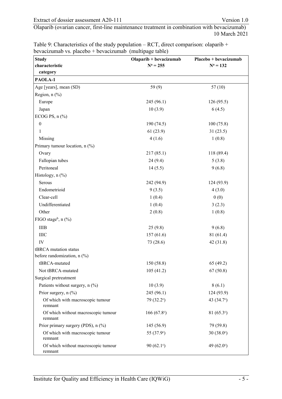| <b>Study</b>                                   | Olaparib + bevacizumab | Placebo + bevacizumab |
|------------------------------------------------|------------------------|-----------------------|
| characteristic                                 | $N^a = 255$            | $N^a = 132$           |
| category                                       |                        |                       |
| PAOLA-1                                        |                        |                       |
| Age [years], mean (SD)                         | 59(9)                  | 57(10)                |
| Region, $n$ $(\%)$                             |                        |                       |
| Europe                                         | 245 (96.1)             | 126(95.5)             |
| Japan                                          | 10(3.9)                | 6(4.5)                |
| ECOG PS, $n$ $(\%)$                            |                        |                       |
| $\boldsymbol{0}$                               | 190 (74.5)             | 100(75.8)             |
| 1                                              | 61(23.9)               | 31(23.5)              |
| Missing                                        | 4(1.6)                 | 1(0.8)                |
| Primary tumour location, n (%)                 |                        |                       |
| Ovary                                          | 217(85.1)              | 118 (89.4)            |
| Fallopian tubes                                | 24(9.4)                | 5(3.8)                |
| Peritoneal                                     | 14(5.5)                | 9(6.8)                |
| Histology, n (%)                               |                        |                       |
| Serous                                         | 242 (94.9)             | 124 (93.9)            |
| Endometrioid                                   | 9(3.5)                 | 4(3.0)                |
| Clear-cell                                     | 1(0.4)                 | 0(0)                  |
| Undifferentiated                               | 1(0.4)                 | 3(2.3)                |
| Other                                          | 2(0.8)                 | 1(0.8)                |
| FIGO stage <sup>b</sup> , $n$ (%)              |                        |                       |
| <b>IIIB</b>                                    | 25(9.8)                | 9(6.8)                |
| $\rm~IIIC$                                     | 157(61.6)              | 81 (61.4)             |
| IV                                             | 73 (28.6)              | 42(31.8)              |
| tBRCA mutation status                          |                        |                       |
| before randomization, n (%)                    |                        |                       |
| tBRCA-mutated                                  | 150 (58.8)             | 65(49.2)              |
| Not tBRCA-mutated                              | 105(41.2)              | 67(50.8)              |
| Surgical pretreatment                          |                        |                       |
| Patients without surgery, n (%)                | 10(3.9)                | 8(6.1)                |
| Prior surgery, n (%)                           | 245 (96.1)             | 124 (93.9)            |
| Of which with macroscopic tumour<br>remnant    | 79 (32.2°)             | 43 (34.7°)            |
| Of which without macroscopic tumour<br>remnant | 166 $(67.8^{\circ})$   | 81 $(65.3^{\circ})$   |
| Prior primary surgery (PDS), n (%)             | 145 (56.9)             | 79 (59.8)             |
| Of which with macroscopic tumour<br>remnant    | 55 (37.9°)             | $30(38.0^{\circ})$    |
| Of which without macroscopic tumour<br>remnant | 90 $(62.1^{\circ})$    | 49 $(62.0^{\circ})$   |

<span id="page-21-0"></span>Table 9: Characteristics of the study population – RCT, direct comparison: olaparib + bevacizumab vs. placebo + bevacizumab (multipage table)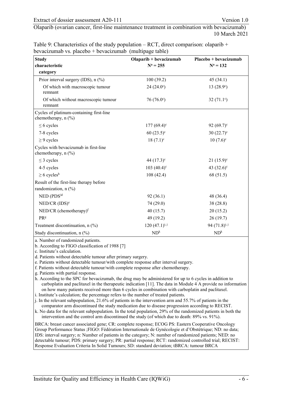|                                                         | Table 9: Characteristics of the study population $- RCT$ , direct comparison: olaparib $+$ |
|---------------------------------------------------------|--------------------------------------------------------------------------------------------|
| bevacizumab vs. placebo + bevacizumab (multipage table) |                                                                                            |

| <b>Study</b>                                                    | $Olaparib + bevacizumab$ | Placebo + bevacizumab    |
|-----------------------------------------------------------------|--------------------------|--------------------------|
| characteristic                                                  | $N^a = 255$              | $N^a = 132$              |
| category                                                        |                          |                          |
| Prior interval surgery (IDS), n (%)                             | 100(39.2)                | 45(34.1)                 |
| Of which with macroscopic tumour<br>remnant                     | 24(24.0°)                | 13(28.9°)                |
| Of which without macroscopic tumour<br>remnant                  | $76(76.0^{\circ})$       | 32 $(71.1°)$             |
| Cycles of platinum-containing first-line<br>chemotherapy, n (%) |                          |                          |
| $\leq 6$ cycles                                                 | $177(69.4)$ <sup>c</sup> | 92 $(69.7)$ <sup>c</sup> |
| 7-8 cycles                                                      | $60(23.5)^{\circ}$       | $30(22.7)^{\circ}$       |
| $\geq$ 9 cycles                                                 | $18(7.1)^c$              | $10(7.6)^c$              |
| Cycles with bevacizumab in first-line<br>chemotherapy, $n$ (%)  |                          |                          |
| $\leq$ 3 cycles                                                 | 44 $(17.3)^{\circ}$      | $21(15.9)^c$             |
| 4-5 cycles                                                      | 103 $(40.4)^c$           | 43 $(32.6)$ °            |
| $\geq 6$ cycles <sup>h</sup>                                    | 108(42.4)                | 68 (51.5)                |
| Result of the first-line therapy before                         |                          |                          |
| randomization, $n$ (%)                                          |                          |                          |
| $NED$ (PDS) <sup>d</sup>                                        | 92(36.1)                 | 48 (36.4)                |
| $NED/CR$ (IDS) <sup>e</sup>                                     | 74 (29.0)                | 38 (28.8)                |
| $NED/CR$ (chemotherapy) <sup>f</sup>                            | 40(15.7)                 | 20(15.2)                 |
| PRg                                                             | 49 (19.2)                | 26(19.7)                 |
| Treatment discontinuation, $n$ (%)                              | 120 $(47.1)^{i,j}$       | 94 $(71.8)^{i,j}$        |
| Study discontinuation, $n$ (%)                                  | ND <sup>k</sup>          | ND <sup>k</sup>          |

a. Number of randomized patients.

b. According to FIGO classification of 1988 [\[7\]](#page-53-9)

c. Institute's calculation.

d. Patients without detectable tumour after primary surgery.

e. Patients without detectable tumour/with complete response after interval surgery.

f. Patients without detectable tumour/with complete response after chemotherapy.

g. Patients with partial response.

h. According to the SPC for bevacizumab, the drug may be administered for up to 6 cycles in addition to carboplatin and paclitaxel in the therapeutic indication [\[11\]](#page-54-1). The data in Module 4 A provide no information on how many patients received more than 6 cycles in combination with carboplatin and paclitaxel.

i. Institute's calculation; the percentage refers to the number of treated patients.

j. In the relevant subpopulation, 21.6% of patients in the intervention arm and 55.7% of patients in the comparator arm discontinued the study medication due to disease progression according to RECIST.

k. No data for the relevant subpopulation. In the total population, 29% of the randomized patients in both the intervention and the control arm discontinued the study (of which due to death: 89% vs. 91%).

BRCA: breast cancer associated gene; CR: complete response; ECOG PS: Eastern Cooperative Oncology Group Performance Status ;FIGO: Fédération Internationale de Gynécologie et d'Obstétrique; ND: no data; IDS: interval surgery; n: Number of patients in the category; N: number of randomized patients; NED: no detectable tumour; PDS: primary surgery; PR: partial response; RCT: randomized controlled trial; RECIST: Response Evaluation Criteria In Solid Tumours; SD: standard deviation; tBRCA: tumour BRCA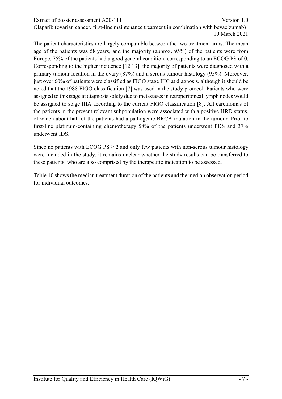The patient characteristics are largely comparable between the two treatment arms. The mean age of the patients was 58 years, and the majority (approx. 95%) of the patients were from Europe. 75% of the patients had a good general condition, corresponding to an ECOG PS of 0. Corresponding to the higher incidence [\[12](#page-54-2)[,13\]](#page-54-3), the majority of patients were diagnosed with a primary tumour location in the ovary (87%) and a serous tumour histology (95%). Moreover, just over 60% of patients were classified as FIGO stage IIIC at diagnosis, although it should be noted that the 1988 FIGO classification [\[7\]](#page-53-9) was used in the study protocol. Patients who were assigned to this stage at diagnosis solely due to metastases in retroperitoneal lymph nodes would be assigned to stage IIIA according to the current FIGO classification [\[8\]](#page-53-10). All carcinomas of the patients in the present relevant subpopulation were associated with a positive HRD status, of which about half of the patients had a pathogenic BRCA mutation in the tumour. Prior to first-line platinum-containing chemotherapy 58% of the patients underwent PDS and 37% underwent IDS.

Since no patients with  $ECOG$  PS  $\geq$  2 and only few patients with non-serous tumour histology were included in the study, it remains unclear whether the study results can be transferred to these patients, who are also comprised by the therapeutic indication to be assessed.

[Table 10](#page-24-0) shows the median treatment duration of the patients and the median observation period for individual outcomes.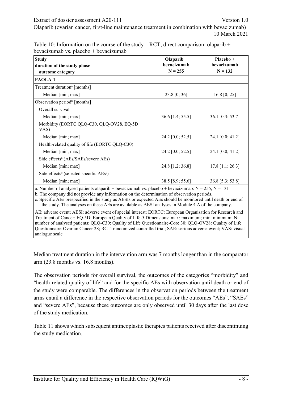<span id="page-24-0"></span>

| Table 10: Information on the course of the study – RCT, direct comparison: olaparib + |  |
|---------------------------------------------------------------------------------------|--|
| bevacizumab vs. placebo + bevacizumab                                                 |  |

| Olaparib $+$       | Placebo +                                                                                                                           |
|--------------------|-------------------------------------------------------------------------------------------------------------------------------------|
|                    | bevacizumab                                                                                                                         |
|                    | $N = 132$                                                                                                                           |
|                    |                                                                                                                                     |
|                    |                                                                                                                                     |
| 23.8 [0; 36]       | 16.8 [0; 25]                                                                                                                        |
|                    |                                                                                                                                     |
|                    |                                                                                                                                     |
| $36.6$ [1.4; 55.5] | 36.1 [0.3; 53.7]                                                                                                                    |
|                    |                                                                                                                                     |
| 24.2 [0.0; 52.5]   | 24.1 [0.0; 41.2]                                                                                                                    |
|                    |                                                                                                                                     |
| 24.2 [0.0; 52.5]   | 24.1 [0.0; 41.2]                                                                                                                    |
|                    |                                                                                                                                     |
| 24.8 [1.2; 36.8]   | $17.8$ [1.1; 26.3]                                                                                                                  |
|                    |                                                                                                                                     |
| 38.5 [8.9; 55.6]   | 36.8 [5.3; 53.8]                                                                                                                    |
|                    | bevacizumab<br>$N = 255$<br>a Number of analyzed patients olaparib + beyacizyumab ys. placebo + beyacizyumab: $N = 255$ , $N = 131$ |

a. Number of analysed patients olaparib + bevacizumab vs. placebo + bevacizumab:  $N =$ 

b. The company did not provide any information on the determination of observation periods.

c. Specific AEs prespecified in the study as AESIs or expected AEs should be monitored until death or end of the study. The analyses on these AEs are available as AESI analyses in Module 4 A of the company.

AE: adverse event; AESI: adverse event of special interest; EORTC: European Organisation for Research and Treatment of Cancer; EQ-5D: European Quality of Life-5 Dimensions; max: maximum; min: minimum; N: number of analysed patients; QLQ-C30: Quality of Life Questionnaire-Core 30; QLQ-OV28: Quality of Life Questionnaire-Ovarian Cancer 28; RCT: randomized controlled trial; SAE: serious adverse event; VAS: visual analogue scale

Median treatment duration in the intervention arm was 7 months longer than in the comparator arm (23.8 months vs. 16.8 months).

The observation periods for overall survival, the outcomes of the categories "morbidity" and "health-related quality of life" and for the specific AEs with observation until death or end of the study were comparable. The differences in the observation periods between the treatment arms entail a difference in the respective observation periods for the outcomes "AEs", "SAEs" and "severe AEs", because these outcomes are only observed until 30 days after the last dose of the study medication.

[Table 11](#page-25-0) shows which subsequent antineoplastic therapies patients received after discontinuing the study medication.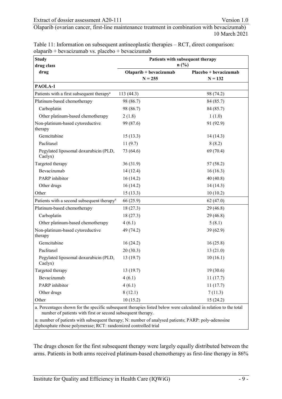| <b>Study</b>                                           | Patients with subsequent therapy |                       |  |  |  |  |
|--------------------------------------------------------|----------------------------------|-----------------------|--|--|--|--|
| drug class                                             | $n$ (%)                          |                       |  |  |  |  |
| drug                                                   | Olaparib + bevacizumab           | Placebo + bevacizumab |  |  |  |  |
|                                                        | $N = 255$                        | $N = 132$             |  |  |  |  |
| PAOLA-1                                                |                                  |                       |  |  |  |  |
| Patients with a first subsequent therapy <sup>a</sup>  | 113(44.3)                        | 98 (74.2)             |  |  |  |  |
| Platinum-based chemotherapy                            | 98 (86.7)                        | 84 (85.7)             |  |  |  |  |
| Carboplatin                                            | 98 (86.7)                        | 84 (85.7)             |  |  |  |  |
| Other platinum-based chemotherapy                      | 2(1.8)                           | 1(1.0)                |  |  |  |  |
| Non-platinum-based cytoreductive<br>therapy            | 99 (87.6)                        | 91 (92.9)             |  |  |  |  |
| Gemcitabine                                            | 15(13.3)                         | 14(14.3)              |  |  |  |  |
| Paclitaxel                                             | 11(9.7)                          | 8(8.2)                |  |  |  |  |
| Pegylated liposomal doxurubicin (PLD,<br>Caelyx)       | 73 (64.6)                        | 69 (70.4)             |  |  |  |  |
| Targeted therapy                                       | 36(31.9)                         | 57 (58.2)             |  |  |  |  |
| Bevacizumab                                            | 14(12.4)                         | 16(16.3)              |  |  |  |  |
| PARP inhibitor                                         | 16(14.2)                         | 40 (40.8)             |  |  |  |  |
| Other drugs                                            | 16(14.2)                         | 14(14.3)              |  |  |  |  |
| Other                                                  | 15(13.3)                         | 10(10.2)              |  |  |  |  |
| Patients with a second subsequent therapy <sup>a</sup> | 66 (25.9)                        | 62(47.0)              |  |  |  |  |
| Platinum-based chemotherapy                            | 18(27.3)                         | 29(46.8)              |  |  |  |  |
| Carboplatin                                            | 18(27.3)                         | 29 (46.8)             |  |  |  |  |
| Other platinum-based chemotherapy                      | 4(6.1)                           | 5(8.1)                |  |  |  |  |
| Non-platinum-based cytoreductive<br>therapy            | 49 (74.2)                        | 39 (62.9)             |  |  |  |  |
| Gemcitabine                                            | 16(24.2)                         | 16(25.8)              |  |  |  |  |
| Paclitaxel                                             | 20(30.3)                         | 13(21.0)              |  |  |  |  |
| Pegylated liposomal doxurubicin (PLD,<br>Caelyx)       | 13(19.7)                         | 10(16.1)              |  |  |  |  |
| Targeted therapy                                       | 13(19.7)                         | 19(30.6)              |  |  |  |  |
| Bevacizumab                                            | 4(6.1)                           | 11(17.7)              |  |  |  |  |
| PARP inhibitor                                         | 4(6.1)                           | 11(17.7)              |  |  |  |  |
| Other drugs                                            | 8(12.1)                          | 7(11.3)               |  |  |  |  |
| Other                                                  | 10(15.2)                         | 15(24.2)              |  |  |  |  |

<span id="page-25-0"></span>Table 11: Information on subsequent antineoplastic therapies – RCT, direct comparison:  $olapar<sub>ib</sub> + bevacizumab vs. <sub>plac</sub>ebo + bevacizumab$ 

a. Percentages shown for the specific subsequent therapies listed below were calculated in relation to the total number of patients with first or second subsequent therapy.

n: number of patients with subsequent therapy; N: number of analysed patients; PARP: poly-adenosine diphosphate ribose polymerase; RCT: randomized controlled trial

The drugs chosen for the first subsequent therapy were largely equally distributed between the arms. Patients in both arms received platinum-based chemotherapy as first-line therapy in 86%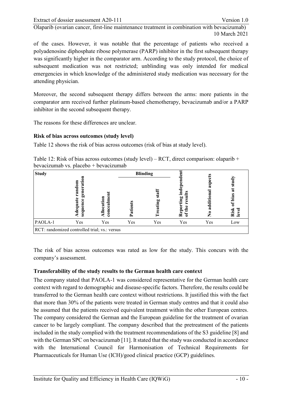of the cases. However, it was notable that the percentage of patients who received a polyadenosine diphosphate ribose polymerase (PARP) inhibitor in the first subsequent therapy was significantly higher in the comparator arm. According to the study protocol, the choice of subsequent medication was not restricted; unblinding was only intended for medical emergencies in which knowledge of the administered study medication was necessary for the attending physician.

Moreover, the second subsequent therapy differs between the arms: more patients in the comparator arm received further platinum-based chemotherapy, bevacizumab and/or a PARP inhibitor in the second subsequent therapy.

The reasons for these differences are unclear.

#### **Risk of bias across outcomes (study level)**

[Table 12](#page-26-0) shows the risk of bias across outcomes (risk of bias at study level).

<span id="page-26-0"></span>Table 12: Risk of bias across outcomes (study level) – RCT, direct comparison: olaparib + bevacizumab vs. placebo + bevacizumab

| <b>Study</b> |                                                    |                      | <b>Blinding</b> |         |                                                |                             |                                              |
|--------------|----------------------------------------------------|----------------------|-----------------|---------|------------------------------------------------|-----------------------------|----------------------------------------------|
|              | g<br>55<br>ē<br>ຼື<br>ទ្ធព<br>ಲ<br>ನ<br>ರ್<br>sequ | 5<br>cati<br>នី<br>ឨ | ے               | مخ<br>ă | Ĕ.<br>≅<br>ting<br>resi<br>epoi<br>≞<br>Ξ<br>≃ | ခွ<br>ದ<br>ದ<br>ನ<br>◓<br>Z | 듨<br>$\overline{\mathbf{a}}$<br>bias<br>Risk |
| PAOLA-1      | Yes                                                | Yes                  | Yes             | Yes     | Yes                                            | Yes                         | Low                                          |
|              | RCT: randomized controlled trial; vs.: versus      |                      |                 |         |                                                |                             |                                              |

The risk of bias across outcomes was rated as low for the study. This concurs with the company's assessment.

#### **Transferability of the study results to the German health care context**

The company stated that PAOLA-1 was considered representative for the German health care context with regard to demographic and disease-specific factors. Therefore, the results could be transferred to the German health care context without restrictions. It justified this with the fact that more than 30% of the patients were treated in German study centres and that it could also be assumed that the patients received equivalent treatment within the other European centres. The company considered the German and the European guideline for the treatment of ovarian cancer to be largely compliant. The company described that the pretreatment of the patients included in the study complied with the treatment recommendations of the S3 guideline [\[8\]](#page-53-10) and with the German SPC on bevacizumab [\[11\]](#page-54-1). It stated that the study was conducted in accordance with the International Council for Harmonisation of Technical Requirements for Pharmaceuticals for Human Use (ICH)/good clinical practice (GCP) guidelines.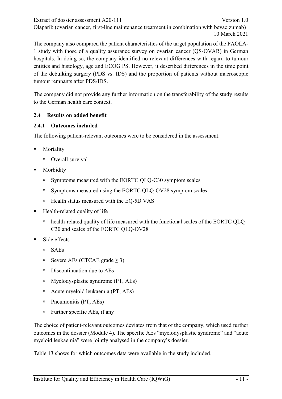The company also compared the patient characteristics of the target population of the PAOLA-1 study with those of a quality assurance survey on ovarian cancer (QS-OVAR) in German hospitals. In doing so, the company identified no relevant differences with regard to tumour entities and histology, age and ECOG PS. However, it described differences in the time point of the debulking surgery (PDS vs. IDS) and the proportion of patients without macroscopic tumour remnants after PDS/IDS.

The company did not provide any further information on the transferability of the study results to the German health care context.

# <span id="page-27-0"></span>**2.4 Results on added benefit**

# <span id="page-27-1"></span>**2.4.1 Outcomes included**

The following patient-relevant outcomes were to be considered in the assessment:

- Mortality
	- Overall survival
- Morbidity
	- □ Symptoms measured with the EORTC QLQ-C30 symptom scales
	- □ Symptoms measured using the EORTC QLQ-OV28 symptom scales
	- □ Health status measured with the EQ-5D VAS
- Health-related quality of life
	- health-related quality of life measured with the functional scales of the EORTC QLQ-C30 and scales of the EORTC QLQ-OV28
- Side effects
	- SAEs
	- **□** Severe AEs (CTCAE grade  $\geq$  3)
	- <sup>n</sup> Discontinuation due to AEs
	- $\blacksquare$  Myelodysplastic syndrome (PT, AEs)
	- Acute myeloid leukaemia (PT, AEs)
	- Pneumonitis (PT, AEs)
	- Further specific AEs, if any

The choice of patient-relevant outcomes deviates from that of the company, which used further outcomes in the dossier (Module 4). The specific AEs "myelodysplastic syndrome" and "acute myeloid leukaemia" were jointly analysed in the company's dossier.

[Table 13](#page-28-0) shows for which outcomes data were available in the study included.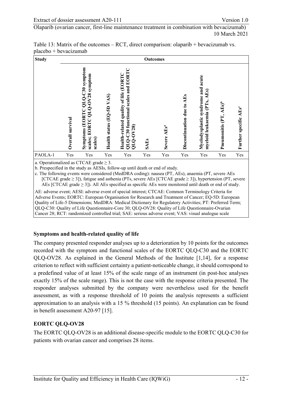| <b>Study</b> |                     |                                                                                 |                           |                                                                                                | Outcomes    |                         |                                      |                                                                             |                                    |                                   |
|--------------|---------------------|---------------------------------------------------------------------------------|---------------------------|------------------------------------------------------------------------------------------------|-------------|-------------------------|--------------------------------------|-----------------------------------------------------------------------------|------------------------------------|-----------------------------------|
|              | survival<br>Overall | Symptoms (EORTC QLQ-C30 symptom<br>EORTC QLQ-OV28 symptom<br>scales;<br>scales) | Health status (EQ-5D VAS) | EORT<br>Health-related quality of life (EORTC<br>QLQ-C30 functional scales and<br>$QLQ - OV28$ | <b>SAEs</b> | Severe AEs <sup>a</sup> | <b>AEs</b><br>Discontinuation due to | acute<br>Myelodysplastic syndrome and<br>AEs)<br>(PTs,<br>myeloid leukaemia | Pneumonitis (PT, AEs) <sup>b</sup> | Further specific AEs <sup>e</sup> |
| PAOLA-1      | Yes                 | Yes                                                                             | Yes                       | Yes                                                                                            | Yes         | Yes                     | Yes                                  | Yes                                                                         | Yes                                | Yes                               |

<span id="page-28-0"></span>Table 13: Matrix of the outcomes – RCT, direct comparison: olaparib + bevacizumab vs. placebo + bevacizumab

a. Operationalized as CTCAE grade  $\geq$  3.

b. Prespecified in the study as AESIs, follow-up until death or end of study.

c. The following events were considered (MedDRA coding): nausea (PT, AEs), anaemia (PT, severe AEs [CTCAE grade ≥ 3]), fatigue and asthenia (PTs, severe AEs [CTCAE grade ≥ 3]), hypertension (PT, severe AEs [CTCAE grade  $\geq$  3]). All AEs specified as specific AEs were monitored until death or end of study.

AE: adverse event; AESI: adverse event of special interest; CTCAE: Common Terminology Criteria for Adverse Events; EORTC: European Organisation for Research and Treatment of Cancer; EQ-5D: European Quality of Life-5 Dimensions; MedDRA: Medical Dictionary for Regulatory Activities; PT: Preferred Term; QLQ-C30: Quality of Life Questionnaire-Core 30; QLQ-OV28: Quality of Life Questionnaire-Ovarian Cancer 28; RCT: randomized controlled trial; SAE: serious adverse event; VAS: visual analogue scale

#### **Symptoms and health-related quality of life**

The company presented responder analyses up to a deterioration by 10 points for the outcomes recorded with the symptom and functional scales of the EORTC QLQ-C30 and the EORTC QLQ-OV28. As explained in the General Methods of the Institute [\[1](#page-53-11)[,14\]](#page-54-4), for a response criterion to reflect with sufficient certainty a patient-noticeable change, it should correspond to a predefined value of at least 15% of the scale range of an instrument (in post-hoc analyses exactly 15% of the scale range). This is not the case with the response criteria presented. The responder analyses submitted by the company were nevertheless used for the benefit assessment, as with a response threshold of 10 points the analysis represents a sufficient approximation to an analysis with a 15 % threshold (15 points). An explanation can be found in benefit assessment A20-97 [\[15\]](#page-54-5).

#### **EORTC QLQ-OV28**

The EORTC QLQ-OV28 is an additional disease-specific module to the EORTC QLQ-C30 for patients with ovarian cancer and comprises 28 items.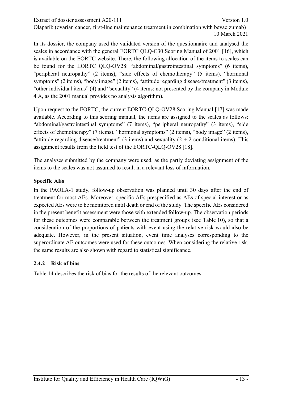In its dossier, the company used the validated version of the questionnaire and analysed the scales in accordance with the general EORTC QLQ-C30 Scoring Manual of 2001 [\[16\]](#page-54-6), which is available on the EORTC website. There, the following allocation of the items to scales can be found for the EORTC QLQ-OV28: "abdominal/gastrointestinal symptoms" (6 items), "peripheral neuropathy" (2 items), "side effects of chemotherapy" (5 items), "hormonal symptoms" (2 items), "body image" (2 items), "attitude regarding disease/treatment" (3 items), "other individual items" (4) and "sexuality" (4 items; not presented by the company in Module 4 A, as the 2001 manual provides no analysis algorithm).

Upon request to the EORTC, the current EORTC-QLQ-OV28 Scoring Manual [\[17\]](#page-54-7) was made available. According to this scoring manual, the items are assigned to the scales as follows: "abdominal/gastrointestinal symptoms" (7 items), "peripheral neuropathy" (3 items), "side effects of chemotherapy" (7 items), "hormonal symptoms" (2 items), "body image" (2 items), "attitude regarding disease/treatment" (3 items) and sexuality  $(2 + 2$  conditional items). This assignment results from the field test of the EORTC-QLQ-OV28 [\[18\]](#page-54-8).

The analyses submitted by the company were used, as the partly deviating assignment of the items to the scales was not assumed to result in a relevant loss of information.

#### **Specific AEs**

In the PAOLA-1 study, follow-up observation was planned until 30 days after the end of treatment for most AEs. Moreover, specific AEs prespecified as AEs of special interest or as expected AEs were to be monitored until death or end of the study. The specific AEs considered in the present benefit assessment were those with extended follow-up. The observation periods for these outcomes were comparable between the treatment groups (see [Table 10\)](#page-24-0), so that a consideration of the proportions of patients with event using the relative risk would also be adequate. However, in the present situation, event time analyses corresponding to the superordinate AE outcomes were used for these outcomes. When considering the relative risk, the same results are also shown with regard to statistical significance.

# <span id="page-29-0"></span>**2.4.2 Risk of bias**

[Table 14](#page-30-0) describes the risk of bias for the results of the relevant outcomes.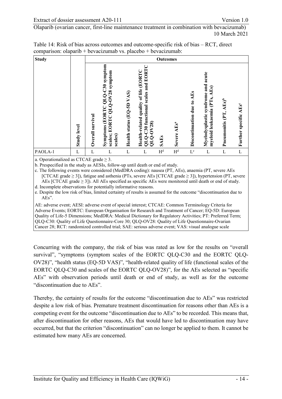<span id="page-30-0"></span>

| Table 14: Risk of bias across outcomes and outcome-specific risk of bias – RCT, direct |  |
|----------------------------------------------------------------------------------------|--|
| comparison: olaparib + bevacizumab vs. placebo + bevacizumab:                          |  |
|                                                                                        |  |

| <b>Study</b> |                    |                  | <b>Outcomes</b>                                                                 |                           |                                                                                             |                |                         |                                      |                                                                          |                                    |                                   |
|--------------|--------------------|------------------|---------------------------------------------------------------------------------|---------------------------|---------------------------------------------------------------------------------------------|----------------|-------------------------|--------------------------------------|--------------------------------------------------------------------------|------------------------------------|-----------------------------------|
|              | <b>Study level</b> | Overall survival | Symptoms (EORTC QLQ-C30 symptom<br>EORTC QLQ-OV28 symptom<br>scales;<br>scales) | Health status (EQ-5D VAS) | QLQ-C30 functional scales and EORTC<br>Health-related quality of life (EORTC<br>$QLO - O28$ | <b>SAEs</b>    | Severe AEs <sup>a</sup> | <b>AEs</b><br>Discontinuation due to | Myelodysplastic syndrome and acute<br>AEs)<br>(PTs,<br>myeloid leukaemia | Pneumonitis (PT, AEs) <sup>b</sup> | Further specific AEs <sup>c</sup> |
| PAOLA-1      | L                  | L                | L                                                                               | L                         | L                                                                                           | H <sup>d</sup> | H <sup>d</sup>          | $\mathcal{L}^{\text{e}}$             | L                                                                        | L                                  | L                                 |

a. Operationalized as CTCAE grade  $\geq$  3.

b. Prespecified in the study as AESIs, follow-up until death or end of study.

c. The following events were considered (MedDRA coding): nausea (PT, AEs), anaemia (PT, severe AEs [CTCAE grade ≥ 3]), fatigue and asthenia (PTs, severe AEs [CTCAE grade ≥ 3]), hypertension (PT, severe AEs [CTCAE grade  $\geq$  3]). All AEs specified as specific AEs were monitored until death or end of study. d. Incomplete observations for potentially informative reasons.

e. Despite the low risk of bias, limited certainty of results is assumed for the outcome "discontinuation due to AEs".

AE: adverse event; AESI: adverse event of special interest; CTCAE: Common Terminology Criteria for Adverse Events; EORTC: European Organisation for Research and Treatment of Cancer; EQ-5D: European Quality of Life-5 Dimensions; MedDRA: Medical Dictionary for Regulatory Activities; PT: Preferred Term; QLQ-C30: Quality of Life Questionnaire-Core 30; QLQ-OV28: Quality of Life Questionnaire-Ovarian Cancer 28; RCT: randomized controlled trial; SAE: serious adverse event; VAS: visual analogue scale

Concurring with the company, the risk of bias was rated as low for the results on "overall survival", "symptoms (symptom scales of the EORTC QLQ-C30 and the EORTC QLQ-OV28)", "health status (EQ-5D VAS)", "health-related quality of life (functional scales of the EORTC QLQ-C30 and scales of the EORTC QLQ-OV28)", for the AEs selected as "specific AEs" with observation periods until death or end of study, as well as for the outcome "discontinuation due to AEs".

Thereby, the certainty of results for the outcome "discontinuation due to AEs" was restricted despite a low risk of bias. Premature treatment discontinuation for reasons other than AEs is a competing event for the outcome "discontinuation due to AEs" to be recorded. This means that, after discontinuation for other reasons, AEs that would have led to discontinuation may have occurred, but that the criterion "discontinuation" can no longer be applied to them. It cannot be estimated how many AEs are concerned.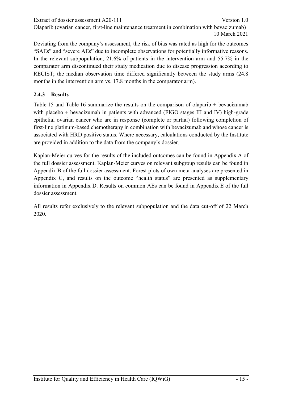Deviating from the company's assessment, the risk of bias was rated as high for the outcomes "SAEs" and "severe AEs" due to incomplete observations for potentially informative reasons. In the relevant subpopulation, 21.6% of patients in the intervention arm and 55.7% in the comparator arm discontinued their study medication due to disease progression according to RECIST; the median observation time differed significantly between the study arms (24.8 months in the intervention arm vs. 17.8 months in the comparator arm).

# <span id="page-31-0"></span>**2.4.3 Results**

[Table 15](#page-32-0) and [Table 16](#page-35-0) summarize the results on the comparison of olaparib + bevacizumab with placebo + bevacizumab in patients with advanced (FIGO stages III and IV) high-grade epithelial ovarian cancer who are in response (complete or partial) following completion of first-line platinum-based chemotherapy in combination with bevacizumab and whose cancer is associated with HRD positive status. Where necessary, calculations conducted by the Institute are provided in addition to the data from the company's dossier.

Kaplan-Meier curves for the results of the included outcomes can be found in Appendix A of the full dossier assessment. Kaplan-Meier curves on relevant subgroup results can be found in Appendix B of the full dossier assessment. Forest plots of own meta-analyses are presented in Appendix C, and results on the outcome "health status" are presented as supplementary information in Appendix D. Results on common AEs can be found in Appendix E of the full dossier assessment.

All results refer exclusively to the relevant subpopulation and the data cut-off of 22 March 2020.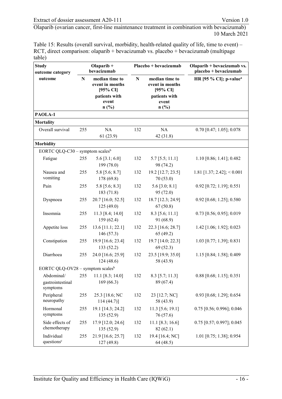<span id="page-32-0"></span>Table 15: Results (overall survival, morbidity, health-related quality of life, time to event) – RCT, direct comparison: olaparib + bevacizumab vs. placebo + bevacizumab (multipage table)

| <b>Study</b><br>outcome category             |           | Olaparib $+$<br>bevacizumab                                                     |           | Placebo + bevacizumab                                                           | Olaparib + bevacizumab vs.<br>placebo + bevacizumab |  |
|----------------------------------------------|-----------|---------------------------------------------------------------------------------|-----------|---------------------------------------------------------------------------------|-----------------------------------------------------|--|
| outcome                                      | ${\bf N}$ | median time to<br>event in months<br>[95% CI]<br>patients with<br>event<br>n(%) | ${\bf N}$ | median time to<br>event in months<br>[95% CI]<br>patients with<br>event<br>n(%) | HR [95 $%$ CI]; p-value <sup>a</sup>                |  |
| PAOLA-1                                      |           |                                                                                 |           |                                                                                 |                                                     |  |
| <b>Mortality</b>                             |           |                                                                                 |           |                                                                                 |                                                     |  |
| Overall survival                             | 255       | NA<br>61(23.9)                                                                  | 132       | NA<br>42(31.8)                                                                  | $0.70$ [0.47; 1.05]; 0.078                          |  |
| <b>Morbidity</b>                             |           |                                                                                 |           |                                                                                 |                                                     |  |
| EORTC QLQ-C30 – symptom scales <sup>b</sup>  |           |                                                                                 |           |                                                                                 |                                                     |  |
| Fatigue                                      | 255       | 5.6 [3.1; 6.0]<br>199 (78.0)                                                    | 132       | $5.7$ [5.5; 11.1]<br>98 (74.2)                                                  | $1.10$ [0.86; 1.41]; 0.482                          |  |
| Nausea and<br>vomiting                       | 255       | 5.8 [5.6; 8.7]<br>178 (69.8)                                                    | 132       | 19.2 [12.7; 23.5]<br>70(53.0)                                                   | 1.81 [1.37; 2.42]; < 0.001                          |  |
| Pain                                         | 255       | 5.8 [5.6; 8.3]<br>183 (71.8)                                                    | 132       | $5.6$ [3.0; 8.1]<br>95(72.0)                                                    | $0.92$ [0.72; 1.19]; 0.551                          |  |
| Dyspnoea                                     | 255       | 20.7 [16.0; 52.5]<br>125(49.0)                                                  | 132       | 18.7 [12.3; 24.9]<br>67(50.8)                                                   | 0.92 [0.68; 1.25]; 0.580                            |  |
| Insomnia                                     | 255       | 11.3 [8.4; 14.0]<br>159(62.4)                                                   | 132       | $8.3$ [5.6; 11.1]<br>91 (68.9)                                                  | $0.73$ [0.56; 0.95]; 0.019                          |  |
| Appetite loss                                | 255       | 13.6 [11.1; 22.1]<br>146 (57.3)                                                 | 132       | 22.3 [16.6; 28.7]<br>65(49.2)                                                   | $1.42$ [1.06; 1.92]; 0.023                          |  |
| Constipation                                 | 255       | 19.9 [16.6; 23.4]<br>133 (52.2)                                                 | 132       | 19.7 [14.0; 22.3]<br>69(52.3)                                                   | $1.03$ [0.77; 1.39]; 0.831                          |  |
| Diarrhoea                                    | 255       | 24.0 [16.6; 25.9]<br>124(48.6)                                                  | 132       | 23.5 [19.9; 35.0]<br>58 (43.9)                                                  | 1.15 [0.84; 1.58]; 0.409                            |  |
| EORTC QLQ-OV28 – symptom scales <sup>b</sup> |           |                                                                                 |           |                                                                                 |                                                     |  |
| gastrointestinal<br>symptoms                 |           | Abdominal/ 255 11.1 [8.3; 14.0]<br>169(66.3)                                    | 132       | $8.3$ [5.7; 11.3]<br>89 (67.4)                                                  | $0.88$ [0.68; 1.15]; 0.351                          |  |
| Peripheral<br>neuropathy                     | 255       | 25.3 [18.6; NC<br>$114(44.7)$ ]                                                 | 132       | 23 [12.7; NC]<br>58 (43.9)                                                      | 0.93 [0.68; 1.29]; 0.654                            |  |
| Hormonal<br>symptoms                         | 255       | 19.1 [14.3; 24.2]<br>135 (52.9)                                                 | 132       | $11.3$ [5.6; 19.1]<br>76 (57.6)                                                 | $0.75$ [0.56; 0.996]; 0.046                         |  |
| Side effects of<br>chemotherapy              | 255       | 17.9 [12.0; 24.6]<br>135 (52.9)                                                 | 132       | 11.1 [8.3; 16.6]<br>82(62.1)                                                    | $0.75$ [0.57; 0.997]; 0.045                         |  |
| Individual<br>questions <sup>c</sup>         | 255       | 21.9 [16.6; 25.7]<br>127 (49.8)                                                 | 132       | 19.4 [16.4; NC]<br>64 (48.5)                                                    | $1.01$ [0.75; 1.38]; 0.954                          |  |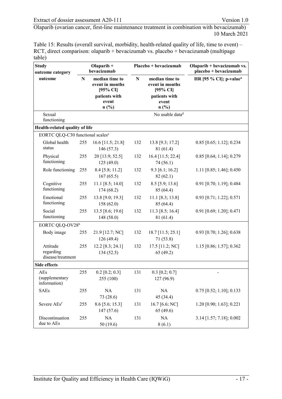Table 15: Results (overall survival, morbidity, health-related quality of life, time to event) – RCT, direct comparison: olaparib + bevacizumab vs. placebo + bevacizumab (multipage table)

| <b>Study</b><br>outcome category             | Olaparib +<br>bevacizumab |                                               |           | Placebo + bevacizumab                         | Olaparib + bevacizumab vs.<br>placebo + bevacizumab |  |
|----------------------------------------------|---------------------------|-----------------------------------------------|-----------|-----------------------------------------------|-----------------------------------------------------|--|
| outcome                                      | N                         | median time to<br>event in months<br>[95% CI] | ${\bf N}$ | median time to<br>event in months<br>[95% CI] | HR [95 $%$ CI]; p-value <sup>a</sup>                |  |
|                                              |                           | patients with<br>event<br>n(%)                |           | patients with<br>event<br>n(%)                |                                                     |  |
| Sexual<br>functioning                        |                           |                                               |           | No usable data <sup>d</sup>                   |                                                     |  |
| Health-related quality of life               |                           |                                               |           |                                               |                                                     |  |
| EORTC QLQ-C30 functional scales <sup>e</sup> |                           |                                               |           |                                               |                                                     |  |
| Global health<br>status                      | 255                       | 16.6 [11.5; 21.8]<br>146 (57.3)               | 132       | 13.8 [9.3; 17.2]<br>81 (61.4)                 | $0.85$ [0.65; 1.12]; 0.234                          |  |
| Physical<br>functioning                      | 255                       | 20 [13.9; 52.5]<br>125(49.0)                  | 132       | 16.4 [11.5; 22.4]<br>74(56.1)                 | $0.85$ [0.64; 1.14]; 0.279                          |  |
| Role functioning                             | 255                       | 8.4 [5.8; 11.2]<br>167(65.5)                  | 132       | $9.3$ [6.1; 16.2]<br>82(62.1)                 | 1.11 $[0.85; 1.46]; 0.450$                          |  |
| Cognitive<br>functioning                     | 255                       | 11.1 [8.5; 14.0]<br>174(68.2)                 | 132       | $8.5$ [5.9; 13.6]<br>85 (64.4)                | 0.91 [0.70; 1.19]; 0.484                            |  |
| Emotional<br>functioning                     | 255                       | 13.8 [9.0; 19.3]<br>158 (62.0)                | 132       | $11.1$ [8.3; 13.8]<br>85 (64.4)               | $0.93$ [0.71; 1.22]; 0.571                          |  |
| Social<br>functioning                        | 255                       | 13.5 [8.6; 19.6]<br>148 (58.0)                | 132       | 11.3 [8.5; 16.4]<br>81 (61.4)                 | $0.91$ [0.69; 1.20]; 0.471                          |  |
| EORTC QLQ-OV28 <sup>b</sup>                  |                           |                                               |           |                                               |                                                     |  |
| Body image                                   | 255                       | 21.9 [12.7; NC]<br>126 (49.4)                 | 132       | $18.7$ [11.5; 25.1]<br>71(53.8)               | $0.93$ [0.70; 1.26]; 0.638                          |  |
| Attitude<br>regarding<br>disease/treatment   | 255                       | $12.2$ [8.3; 24.1]<br>134(52.5)               | 132       | 17.5 [11.2; NC]<br>65(49.2)                   | 1.15 [0.86; 1.57]; 0.362                            |  |
| <b>Side effects</b>                          |                           |                                               |           |                                               |                                                     |  |
| AEs<br>(supplementary<br>information)        | 255                       | $0.2$ [0.2; 0.3]<br>255 (100)                 | 131       | $0.3$ [0.2; 0.7]<br>127 (96.9)                | $\overline{\phantom{0}}$                            |  |
| <b>SAEs</b>                                  | 255                       | NA<br>73 (28.6)                               | 131       | NA<br>45 (34.4)                               | $0.75$ [0.52; 1.10]; 0.133                          |  |
| Severe AEsf                                  | 255                       | $8.6$ [5.6; 15.3]<br>147(57.6)                | 131       | 16.7 [6.6; NC]<br>65(49.6)                    | 1.20 [0.90; 1.63]; 0.221                            |  |
| Discontinuation<br>due to AEs                | 255                       | $\rm NA$<br>50 (19.6)                         | 131       | NA<br>8(6.1)                                  | $3.14$ [1.57; 7.18]; 0.002                          |  |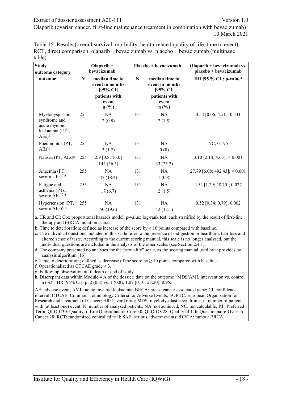Table 15: Results (overall survival, morbidity, health-related quality of life, time to event) – RCT, direct comparison: olaparib + bevacizumab vs. placebo + bevacizumab (multipage table)

| <b>Study</b><br>outcome category                                                   | Olaparib $+$<br>bevacizumab |                                                                           |     | Placebo + bevacizumab                                                     | Olaparib + bevacizumab vs.<br>placebo + bevacizumab |  |
|------------------------------------------------------------------------------------|-----------------------------|---------------------------------------------------------------------------|-----|---------------------------------------------------------------------------|-----------------------------------------------------|--|
| outcome                                                                            | N                           | median time to<br>event in months<br>$[95\% \text{ CI}]$<br>patients with | N   | median time to<br>event in months<br>$[95\% \text{ CI}]$<br>patients with | HR [95 $%$ CI]; p-value <sup>a</sup>                |  |
|                                                                                    |                             | event<br>n(%)                                                             |     | event<br>$n$ (%)                                                          |                                                     |  |
| Myelodysplastic<br>syndrome and<br>acute myeloid<br>leukaemia (PTs,<br>$AEs)$ g, h | 255                         | <b>NA</b><br>2(0.8)                                                       | 131 | NA<br>2(1.5)                                                              | $0.54$ [0.06; 4.51]; 0.531                          |  |
| Pneumonitis (PT,<br>$AEs$ <sup>g</sup>                                             | 255                         | NA<br>3(1.2)                                                              | 131 | NA.<br>0(0)                                                               | NC; 0.195                                           |  |
| Nausea (PT, AEs) <sup>g</sup>                                                      | 255                         | $2.9$ [0.8; 16.0]<br>144(56.5)                                            | 131 | <b>NA</b><br>33(25.2)                                                     | $3.10$ [2.14; 4.63]; < 0.001                        |  |
| Anaemia (PT<br>severe UEs)f, g                                                     | 255                         | NA<br>47 (18.4)                                                           | 131 | NA<br>1(0.8)                                                              | 27.79 [6.08; 492.43]; $< 0.001$                     |  |
| Fatigue and<br>asthenia (PTs,<br>severe AEs)f, g                                   | 255                         | <b>NA</b><br>17(6.7)                                                      | 131 | NA<br>2(1.5)                                                              | 4.54 [1.29; 28.70]; 0.027                           |  |
| Hypertension (PT,<br>severe AEs) <sup>f, g</sup>                                   | 255                         | NA<br>50(19.6)                                                            | 131 | NA<br>42(32.1)                                                            | $0.52$ [0.34; 0.79]; 0.002                          |  |

a. HR and CI: Cox proportional hazards model, p-value: log-rank test, each stratified by the result of first-line therapy and tBRCA mutation status.

b. Time to deterioration; defined as increase of the score by  $\geq 10$  points compared with baseline.

c. The individual questions included in this scale refer to the presence of indigestion or heartburn, hair loss and altered sense of taste. According to the current scoring manual, this scale is no longer analysed, but the individual questions are included in the analysis of the other scales (see Sectio[n 2.4.1\)](#page-27-1).

d. The company presented no analyses for the "sexuality" scale, as the scoring manual used by it provides no analysis algorithm [\[16\]](#page-54-6).

e. Time to deterioration; defined as decrease of the score by  $\geq 10$  points compared with baseline.

f. Operationalized as CTCAE grade  $\geq$  3.

g. Follow-up observation until death or end of study.

h. Discrepant data within Module 4 A of the dossier; data on the outcome "MDS/AML intervention vs. control n (%)"; HR [95% CI]; p: 2 (0.8) vs. 1 (0.8); 1.07 [0.10; 23.20]; 0.955.

AE: adverse event; AML: acute myeloid leukaemia; BRCA: breast cancer associated gene; CI: confidence interval; CTCAE: Common Terminology Criteria for Adverse Events; EORTC: European Organisation for Research and Treatment of Cancer; HR: hazard ratio; MDS: myelodysplastic syndrome; n: number of patients with (at least one) event; N: number of analysed patients; NA: not achieved; NC: not calculable; PT: Preferred Term; QLQ-C30: Quality of Life Questionnaire-Core 30; QLQ-OV28: Quality of Life Questionnaire-Ovarian Cancer 28; RCT: randomized controlled trial; SAE: serious adverse events; tBRCA: tumour BRCA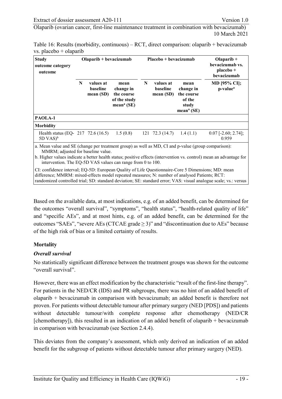| <b>Study</b><br>outcome category<br>outcome                                                                                                                                                              |   | $Olaparib + bevacizumab$          |                                                                           |   | Placebo + bevacizumab             |                                                                              | Olaparib $+$<br>bevacizumab vs.<br>placebo +<br>bevacizumab                                                         |
|----------------------------------------------------------------------------------------------------------------------------------------------------------------------------------------------------------|---|-----------------------------------|---------------------------------------------------------------------------|---|-----------------------------------|------------------------------------------------------------------------------|---------------------------------------------------------------------------------------------------------------------|
|                                                                                                                                                                                                          | N | values at<br>baseline<br>mean(SD) | mean<br>change in<br>the course<br>of the study<br>mean <sup>a</sup> (SE) | N | values at<br>baseline<br>mean(SD) | mean<br>change in<br>the course<br>of the<br>study<br>mean <sup>a</sup> (SE) | <b>MD</b> [95% CI];<br>p-value <sup>a</sup>                                                                         |
| PAOLA-1                                                                                                                                                                                                  |   |                                   |                                                                           |   |                                   |                                                                              |                                                                                                                     |
| <b>Morbidity</b>                                                                                                                                                                                         |   |                                   |                                                                           |   |                                   |                                                                              |                                                                                                                     |
| Health status (EQ- 217 $72.6(16.5)$ )<br>$5D VAS)^b$                                                                                                                                                     |   |                                   | 1.5(0.8)                                                                  |   | $121 \quad 72.3(14.7)$            | 1.4(1.1)                                                                     | $0.07$ [-2.60; 2.74];<br>0.959                                                                                      |
| a. Mean value and SE (change per treatment group) as well as MD, CI and p-value (group comparison):<br>MMRM; adjusted for baseline value.<br>intervention. The EQ-5D VAS values can range from 0 to 100. |   |                                   |                                                                           |   |                                   |                                                                              | b. Higher values indicate a better health status; positive effects (intervention vs. control) mean an advantage for |

<span id="page-35-0"></span>Table 16: Results (morbidity, continuous) – RCT, direct comparison: olaparib + bevacizumab vs. placebo + olaparib

CI: confidence interval; EQ-5D: European Quality of Life Questionnaire-Core 5 Dimensions; MD: mean difference; MMRM: mixed-effects model repeated measures; N: number of analysed Patients; RCT: randomized controlled trial; SD: standard deviation; SE: standard error; VAS: visual analogue scale; vs.: versus

Based on the available data, at most indications, e.g. of an added benefit, can be determined for the outcomes "overall survival", "symptoms", "health status", "health-related quality of life" and "specific AEs", and at most hints, e.g. of an added benefit, can be determined for the outcomes "SAEs", "severe AEs (CTCAE grade  $\geq$  3)" and "discontinuation due to AEs" because of the high risk of bias or a limited certainty of results.

#### **Mortality**

#### *Overall survival*

No statistically significant difference between the treatment groups was shown for the outcome "overall survival".

However, there was an effect modification by the characteristic "result of the first-line therapy". For patients in the NED/CR (IDS) and PR subgroups, there was no hint of an added benefit of olaparib + bevacizumab in comparison with bevacizumab; an added benefit is therefore not proven. For patients without detectable tumour after primary surgery (NED [PDS]) and patients without detectable tumour/with complete response after chemotherapy (NED/CR [chemotherapy]), this resulted in an indication of an added benefit of olaparib  $+$  bevacizumab in comparison with bevacizumab (see Section [2.4.4\)](#page-39-0).

This deviates from the company's assessment, which only derived an indication of an added benefit for the subgroup of patients without detectable tumour after primary surgery (NED).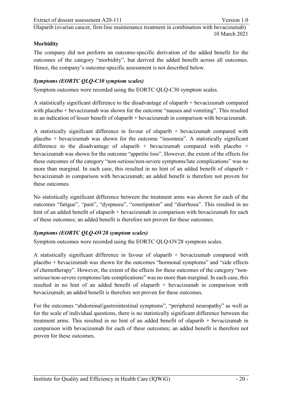#### **Morbidity**

The company did not perform an outcome-specific derivation of the added benefit for the outcomes of the category "morbidity", but derived the added benefit across all outcomes. Hence, the company's outcome-specific assessment is not described below.

#### *Symptoms (EORTC QLQ-C30 symptom scales)*

Symptom outcomes were recorded using the EORTC QLQ-C30 symptom scales.

A statistically significant difference to the disadvantage of olaparib + bevacizumab compared with placebo + bevacizumab was shown for the outcome "nausea and vomiting". This resulted in an indication of lesser benefit of olaparib + bevacizumab in comparison with bevacizumab.

A statistically significant difference in favour of olaparib + bevacizumab compared with placebo + bevacizumab was shown for the outcome "insomnia". A statistically significant difference to the disadvantage of olaparib + bevacizumab compared with placebo + bevacizumab was shown for the outcome "appetite loss". However, the extent of the effects for these outcomes of the category "non-serious/non-severe symptoms/late complications" was no more than marginal. In each case, this resulted in no hint of an added benefit of olaparib  $+$ bevacizumab in comparison with bevacizumab; an added benefit is therefore not proven for these outcomes.

No statistically significant difference between the treatment arms was shown for each of the outcomes "fatigue", "pain", "dyspnoea", "constipation" and "diarrhoea". This resulted in no hint of an added benefit of olaparib + bevacizumab in comparison with bevacizumab for each of these outcomes; an added benefit is therefore not proven for these outcomes.

#### *Symptoms (EORTC QLQ-OV28 symptom scales)*

Symptom outcomes were recorded using the EORTC QLQ-OV28 symptom scales.

A statistically significant difference in favour of olaparib + bevacizumab compared with placebo + bevacizumab was shown for the outcomes "hormonal symptoms" and "side effects of chemotherapy". However, the extent of the effects for these outcomes of the category "nonserious/non-severe symptoms/late complications" was no more than marginal. In each case, this resulted in no hint of an added benefit of olaparib + bevacizumab in comparison with bevacizumab; an added benefit is therefore not proven for these outcomes.

For the outcomes "abdominal/gastrointestinal symptoms", "peripheral neuropathy" as well as for the scale of individual questions, there is no statistically significant difference between the treatment arms. This resulted in no hint of an added benefit of olaparib + bevacizumab in comparison with bevacizumab for each of these outcomes; an added benefit is therefore not proven for these outcomes.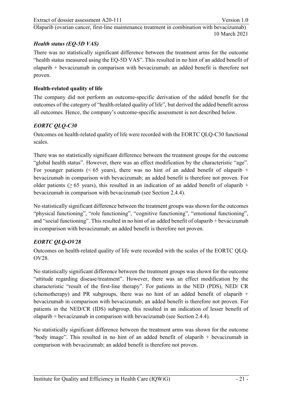#### Extract of dossier assessment A20-111 Version 1.0

[Olaparib \(ovarian cancer, first-line maintenance treatment in combination with bevacizumab\)](#page-0-1) 10 March 2021

#### *Health status (EQ-5D VAS)*

There was no statistically significant difference between the treatment arms for the outcome "health status measured using the EQ-5D VAS". This resulted in no hint of an added benefit of olaparib + bevacizumab in comparison with bevacizumab; an added benefit is therefore not proven.

# **Health-related quality of life**

The company did not perform an outcome-specific derivation of the added benefit for the outcomes of the category of "health-related quality of life", but derived the added benefit across all outcomes. Hence, the company's outcome-specific assessment is not described below.

# *EORTC QLQ-C30*

Outcomes on health-related quality of life were recorded with the EORTC QLQ-C30 functional scales.

There was no statistically significant difference between the treatment groups for the outcome "global health status". However, there was an effect modification by the characteristic "age". For younger patients ( $\leq 65$  years), there was no hint of an added benefit of olaparib + bevacizumab in comparison with bevacizumab; an added benefit is therefore not proven. For older patients ( $\geq 65$  years), this resulted in an indication of an added benefit of olaparib + bevacizumab in comparison with bevacizumab (see Section [2.4.4\)](#page-39-0).

No statistically significant difference between the treatment groups was shown for the outcomes "physical functioning", "role functioning", "cognitive functioning", "emotional functioning", and "social functioning". This resulted in no hint of an added benefit of olaparib + bevacizumab in comparison with bevacizumab; an added benefit is therefore not proven.

# *EORTC QLQ-OV28*

Outcomes on health-related quality of life were recorded with the scales of the EORTC QLQ-OV28.

No statistically significant difference between the treatment groups was shown for the outcome "attitude regarding disease/treatment". However, there was an effect modification by the characteristic "result of the first-line therapy". For patients in the NED (PDS), NED/ CR (chemotherapy) and PR subgroups, there was no hint of an added benefit of olaparib  $+$ bevacizumab in comparison with bevacizumab; an added benefit is therefore not proven. For patients in the NED/CR (IDS) subgroup, this resulted in an indication of lesser benefit of olaparib + bevacizumab in comparison with bevacizumab (see Section [2.4.4\)](#page-39-0).

No statistically significant difference between the treatment arms was shown for the outcome "body image". This resulted in no hint of an added benefit of olaparib + bevacizumab in comparison with bevacizumab; an added benefit is therefore not proven.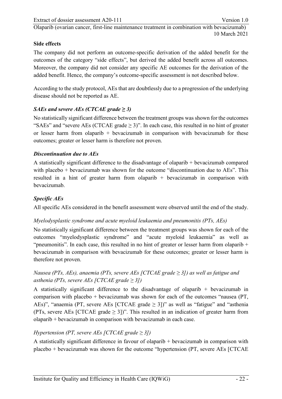### **Side effects**

The company did not perform an outcome-specific derivation of the added benefit for the outcomes of the category "side effects", but derived the added benefit across all outcomes. Moreover, the company did not consider any specific AE outcomes for the derivation of the added benefit. Hence, the company's outcome-specific assessment is not described below.

According to the study protocol, AEs that are doubtlessly due to a progression of the underlying disease should not be reported as AE.

# *SAEs and severe AEs (CTCAE grade*  $\geq$  *3)*

No statistically significant difference between the treatment groups was shown for the outcomes "SAEs" and "severe AEs (CTCAE grade  $\geq$  3)". In each case, this resulted in no hint of greater or lesser harm from olaparib  $+$  bevacizumab in comparison with bevacizumab for these outcomes; greater or lesser harm is therefore not proven.

# *Discontinuation due to AEs*

A statistically significant difference to the disadvantage of olaparib + bevacizumab compared with placebo + bevacizumab was shown for the outcome "discontinuation due to AEs". This resulted in a hint of greater harm from olaparib + bevacizumab in comparison with bevacizumab.

# *Specific AEs*

All specific AEs considered in the benefit assessment were observed until the end of the study.

# *Myelodysplastic syndrome and acute myeloid leukaemia and pneumonitis (PTs, AEs)*

No statistically significant difference between the treatment groups was shown for each of the outcomes "myelodysplastic syndrome" and "acute myeloid leukaemia" as well as "pneumonitis". In each case, this resulted in no hint of greater or lesser harm from olaparib  $+$ bevacizumab in comparison with bevacizumab for these outcomes; greater or lesser harm is therefore not proven.

# *Nausea (PTs, AEs), anaemia (PTs, severe AEs [CTCAE grade ≥ 3]) as well as fatigue and asthenia (PTs, severe AEs [CTCAE grade*  $\geq$  *3])*

A statistically significant difference to the disadvantage of olaparib  $+$  bevacizumab in comparison with placebo + bevacizumab was shown for each of the outcomes "nausea (PT, AEs)", "anaemia (PT, severe AEs [CTCAE grade  $\geq$  3])" as well as "fatigue" and "asthenia (PTs, severe AEs [CTCAE grade  $\geq$  3])". This resulted in an indication of greater harm from olaparib + bevacizumab in comparison with bevacizumab in each case.

# *Hypertension (PT, severe AEs [CTCAE grade ≥ 3])*

A statistically significant difference in favour of olaparib + bevacizumab in comparison with placebo + bevacizumab was shown for the outcome "hypertension (PT, severe AEs [CTCAE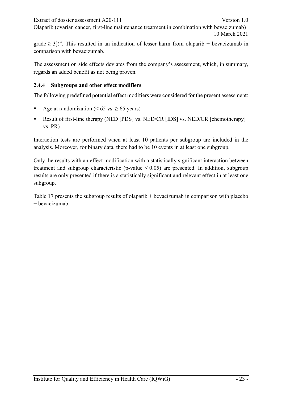grade  $\geq$  3])". This resulted in an indication of lesser harm from olaparib + bevacizumab in comparison with bevacizumab.

The assessment on side effects deviates from the company's assessment, which, in summary, regards an added benefit as not being proven.

#### <span id="page-39-0"></span>**2.4.4 Subgroups and other effect modifiers**

The following predefined potential effect modifiers were considered for the present assessment:

- Age at randomization ( $\leq 65$  vs.  $\geq 65$  years)
- Result of first-line therapy (NED [PDS] vs. NED/CR [IDS] vs. NED/CR [chemotherapy] vs. PR)

Interaction tests are performed when at least 10 patients per subgroup are included in the analysis. Moreover, for binary data, there had to be 10 events in at least one subgroup.

Only the results with an effect modification with a statistically significant interaction between treatment and subgroup characteristic (p-value  $< 0.05$ ) are presented. In addition, subgroup results are only presented if there is a statistically significant and relevant effect in at least one subgroup.

[Table 17](#page-40-0) presents the subgroup results of olaparib + bevacizumab in comparison with placebo + bevacizumab.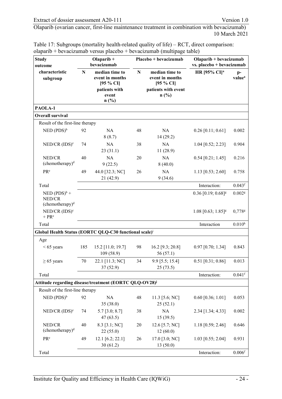| <b>Study</b><br>outcome                                            |     | Olaparib +<br>bevacizumab                                                        |    | Placebo + bevacizumab                                                               | Olaparib + bevacizumab<br>vs. placebo + bevacizumab |                          |
|--------------------------------------------------------------------|-----|----------------------------------------------------------------------------------|----|-------------------------------------------------------------------------------------|-----------------------------------------------------|--------------------------|
| characteristic<br>subgroup                                         | N   | median time to<br>event in months<br>[95 % CI]<br>patients with<br>event<br>n(%) | N  | median time to<br>event in months<br>$[95 \% CI]$<br>patients with event<br>$n$ (%) | <b>HR</b> [95% CI] <sup>a</sup>                     | p-<br>value <sup>a</sup> |
| PAOLA-1                                                            |     |                                                                                  |    |                                                                                     |                                                     |                          |
| <b>Overall survival</b>                                            |     |                                                                                  |    |                                                                                     |                                                     |                          |
| Result of the first-line therapy                                   |     |                                                                                  |    |                                                                                     |                                                     |                          |
| $NED$ (PDS) <sup>b</sup>                                           | 92  | <b>NA</b><br>8(8.7)                                                              | 48 | NA<br>14 (29.2)                                                                     | $0.26$ [0.11; 0.61]                                 | 0.002                    |
| $NED/CR$ (IDS) <sup>c</sup>                                        | 74  | NA<br>23(31.1)                                                                   | 38 | <b>NA</b><br>11(28.9)                                                               | $1.04$ [0.52; 2.23]                                 | 0.904                    |
| NED/CR<br>(chemotheray) <sup>d</sup>                               | 40  | NA<br>9(22.5)                                                                    | 20 | NA<br>8(40.0)                                                                       | $0.54$ [0.21; 1.45]                                 | 0.216                    |
| PRe                                                                | 49  | 44.0 [32.3; NC]<br>21 (42.9)                                                     | 26 | <b>NA</b><br>9(34.6)                                                                | $1.13$ [0.53; 2.60]                                 | 0.758                    |
| Total                                                              |     |                                                                                  |    |                                                                                     | Interaction:                                        | $0.043$ <sup>f</sup>     |
| NED $(PDS)^b$ +<br>NED/CR<br>(chemotherapy) <sup>d</sup>           |     |                                                                                  |    |                                                                                     | $0.36$ [0.19; $0.68$ ] <sup>g</sup>                 | $0.002$ g                |
| $NED/CR$ (IDS) <sup>c</sup><br>$+ PRe$                             |     |                                                                                  |    |                                                                                     | $1.08$ [0.63; 1.85] <sup>g</sup>                    | 0,778g                   |
| Total                                                              |     |                                                                                  |    |                                                                                     | Interaction                                         | $0.010^{h}$              |
| Global Health Status (EORTC QLQ-C30 functional scale) <sup>i</sup> |     |                                                                                  |    |                                                                                     |                                                     |                          |
| Age                                                                |     |                                                                                  |    |                                                                                     |                                                     |                          |
| $< 65$ years                                                       | 185 | 15.2 [11.0; 19.7]<br>109(58.9)                                                   | 98 | 16.2 [9.3; 20.8]<br>56(57.1)                                                        | $0.97$ [0.70; 1.34]                                 | 0.843                    |
| $\geq 65$ years                                                    | 70  | 22.1 [11.3; NC]<br>37(52.9)                                                      | 34 | 9.9 [5.5; 15.4]<br>25(73.5)                                                         | $0.51$ [0.31; 0.86]                                 | 0.013                    |
| Total                                                              |     |                                                                                  |    |                                                                                     | Interaction:                                        | $0.041$ <sup>f</sup>     |
| Attitude regarding disease/treatment (EORTC QLQ-OV28) <sup>j</sup> |     |                                                                                  |    |                                                                                     |                                                     |                          |
| Result of the first-line therapy                                   |     |                                                                                  |    |                                                                                     |                                                     |                          |
| $NED (PDS)^b$                                                      | 92  | NA<br>35 (38.0)                                                                  | 48 | 11.3 [5.6; NC]<br>25(52.1)                                                          | $0.60$ [0.36; 1.01]                                 | 0.053                    |
| $NED/CR$ $(IDS)^c$                                                 | 74  | $5.7$ [3.0; 8.7]<br>47(63.5)                                                     | 38 | NA<br>15(39.5)                                                                      | 2.34 [1.34; 4.33]                                   | 0.002                    |
| NED/CR<br>$(chemotherapy)^d$                                       | 40  | 8.3 [3.1; NC]<br>22(55.0)                                                        | 20 | 12.6 [5.7; NC]<br>12(60.0)                                                          | $1.18$ [0.59; 2.46]                                 | 0.646                    |
| PR <sup>e</sup>                                                    | 49  | 12.1 [6.2; 22.1]<br>30(61.2)                                                     | 26 | 17.0 [3.0; NC]<br>13(50.0)                                                          | $1.03$ [0.55; 2.04]                                 | 0.931                    |
| Total                                                              |     |                                                                                  |    |                                                                                     | Interaction:                                        | $0.006$ <sup>f</sup>     |

<span id="page-40-0"></span>Table 17: Subgroups (mortality health-related quality of life) – RCT, direct comparison: olaparib + bevacizumab versus placebo + bevacizumab (multipage table)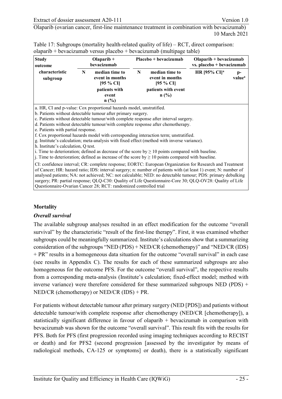| Table 17: Subgroups (mortality health-related quality of life) – RCT, direct comparison: |
|------------------------------------------------------------------------------------------|
| $\alpha$ olaparib + bevacizumab versus placebo + bevacizumab (multipage table)           |

| <b>Study</b><br>outcome    |   | Olaparib $+$<br>bevacizumab                       |   | Placebo + bevacizumab                             | Olaparib + bevacizumab<br>vs. placebo + bevacizumab |                          |
|----------------------------|---|---------------------------------------------------|---|---------------------------------------------------|-----------------------------------------------------|--------------------------|
| characteristic<br>subgroup | N | median time to<br>event in months<br>$[95 \% CI]$ | N | median time to<br>event in months<br>$[95 \% CI]$ | HR [95% CI] <sup>a</sup>                            | p-<br>value <sup>a</sup> |
|                            |   | patients with<br>event<br>n(%)                    |   | patients with event<br>n(%)                       |                                                     |                          |
|                            |   |                                                   |   |                                                   |                                                     |                          |

a. HR, CI and p-value: Cox proportional hazards model, unstratified.

b. Patients without detectable tumour after primary surgery.

c. Patients without detectable tumour/with complete response after interval surgery.

d. Patients without detectable tumour/with complete response after chemotherapy.

e. Patients with partial response.

f. Cox proportional hazards model with corresponding interaction term; unstratified.

g. Institute's calculation; meta-analysis with fixed effect (method with inverse variance).

h. Institute's calculation, Q test.

i. Time to deterioration; defined as decrease of the score by  $\geq 10$  points compared with baseline.

j. Time to deterioration; defined as increase of the score by  $\geq 10$  points compared with baseline.

CI: confidence interval; CR: complete response; EORTC: European Organization for Research and Treatment of Cancer; HR: hazard ratio; IDS: interval surgery; n: number of patients with (at least 1) event; N: number of analysed patients; NA: not achieved; NC: not calculable; NED: no detectable tumour; PDS: primary debulking surgery; PR: partial response; QLQ-C30: Quality of Life Questionnaire-Core 30; QLQ-OV28: Quality of Life Questionnaire-Ovarian Cancer 28; RCT: randomized controlled trial

#### **Mortality**

#### *Overall survival*

The available subgroup analyses resulted in an effect modification for the outcome "overall survival" by the characteristic "result of the first-line therapy". First, it was examined whether subgroups could be meaningfully summarized. Institute's calculations show that a summarizing consideration of the subgroups "NED (PDS) + NED/CR (chemotherapy)" and "NED/CR (IDS) + PR" results in a homogeneous data situation for the outcome "overall survival" in each case (see results in Appendix C). The results for each of these summarized subgroups are also homogeneous for the outcome PFS. For the outcome "overall survival", the respective results from a corresponding meta-analysis (Institute's calculation; fixed-effect model; method with inverse variance) were therefore considered for these summarized subgroups NED (PDS) + NED/CR (chemotherapy) or NED/CR (IDS) + PR.

For patients without detectable tumour after primary surgery (NED [PDS]) and patients without detectable tumour/with complete response after chemotherapy (NED/CR [chemotherapy]), a statistically significant difference in favour of olaparib + bevacizumab in comparison with bevacizumab was shown for the outcome "overall survival". This result fits with the results for PFS. Both for PFS (first progression recorded using imaging techniques according to RECIST or death) and for PFS2 (second progression [assessed by the investigator by means of radiological methods, CA-125 or symptoms] or death), there is a statistically significant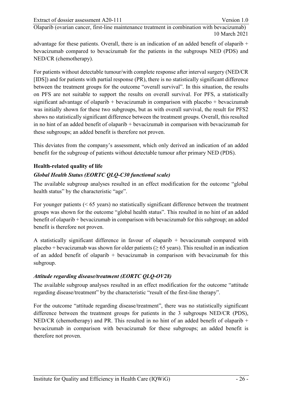advantage for these patients. Overall, there is an indication of an added benefit of olaparib + bevacizumab compared to bevacizumab for the patients in the subgroups NED (PDS) and NED/CR (chemotherapy).

For patients without detectable tumour/with complete response after interval surgery (NED/CR [IDS]) and for patients with partial response (PR), there is no statistically significant difference between the treatment groups for the outcome "overall survival". In this situation, the results on PFS are not suitable to support the results on overall survival. For PFS, a statistically significant advantage of olaparib  $+$  bevacizumab in comparison with placebo  $+$  bevacizumab was initially shown for these two subgroups, but as with overall survival, the result for PFS2 shows no statistically significant difference between the treatment groups. Overall, this resulted in no hint of an added benefit of olaparib + bevacizumab in comparison with bevacizumab for these subgroups; an added benefit is therefore not proven.

This deviates from the company's assessment, which only derived an indication of an added benefit for the subgroup of patients without detectable tumour after primary NED (PDS).

#### **Health-related quality of life**

#### *Global Health Status (EORTC QLQ-C30 functional scale)*

The available subgroup analyses resulted in an effect modification for the outcome "global health status" by the characteristic "age".

For younger patients (< 65 years) no statistically significant difference between the treatment groups was shown for the outcome "global health status". This resulted in no hint of an added benefit of olaparib + bevacizumab in comparison with bevacizumab for this subgroup; an added benefit is therefore not proven.

A statistically significant difference in favour of olaparib + bevacizumab compared with placebo + bevacizumab was shown for older patients ( $\geq 65$  years). This resulted in an indication of an added benefit of olaparib  $+$  bevacizumab in comparison with bevacizumab for this subgroup.

#### *Attitude regarding disease/treatment (EORTC QLQ-OV28)*

The available subgroup analyses resulted in an effect modification for the outcome "attitude regarding disease/treatment" by the characteristic "result of the first-line therapy".

For the outcome "attitude regarding disease/treatment", there was no statistically significant difference between the treatment groups for patients in the 3 subgroups NED/CR (PDS), NED/CR (chemotherapy) and PR. This resulted in no hint of an added benefit of olaparib  $+$ bevacizumab in comparison with bevacizumab for these subgroups; an added benefit is therefore not proven.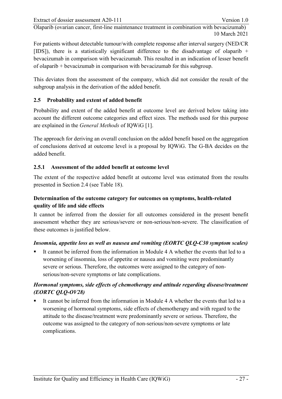For patients without detectable tumour/with complete response after interval surgery (NED/CR [IDS]), there is a statistically significant difference to the disadvantage of olaparib + bevacizumab in comparison with bevacizumab. This resulted in an indication of lesser benefit of olaparib + bevacizumab in comparison with bevacizumab for this subgroup.

This deviates from the assessment of the company, which did not consider the result of the subgroup analysis in the derivation of the added benefit.

#### <span id="page-43-0"></span>**2.5 Probability and extent of added benefit**

Probability and extent of the added benefit at outcome level are derived below taking into account the different outcome categories and effect sizes. The methods used for this purpose are explained in the *General Methods* of IQWiG [\[1\]](#page-53-11).

The approach for deriving an overall conclusion on the added benefit based on the aggregation of conclusions derived at outcome level is a proposal by IQWiG. The G-BA decides on the added benefit.

#### <span id="page-43-1"></span>**2.5.1 Assessment of the added benefit at outcome level**

The extent of the respective added benefit at outcome level was estimated from the results presented in Section [2.4](#page-27-0) (see [Table 18\)](#page-45-1).

# **Determination of the outcome category for outcomes on symptoms, health-related quality of life and side effects**

It cannot be inferred from the dossier for all outcomes considered in the present benefit assessment whether they are serious/severe or non-serious/non-severe. The classification of these outcomes is justified below.

#### *Insomnia, appetite loss as well as nausea and vomiting (EORTC QLQ-C30 symptom scales)*

 It cannot be inferred from the information in Module 4 A whether the events that led to a worsening of insomnia, loss of appetite or nausea and vomiting were predominantly severe or serious. Therefore, the outcomes were assigned to the category of nonserious/non-severe symptoms or late complications.

# *Hormonal symptoms, side effects of chemotherapy and attitude regarding disease/treatment (EORTC QLQ-OV28)*

 It cannot be inferred from the information in Module 4 A whether the events that led to a worsening of hormonal symptoms, side effects of chemotherapy and with regard to the attitude to the disease/treatment were predominantly severe or serious. Therefore, the outcome was assigned to the category of non-serious/non-severe symptoms or late complications.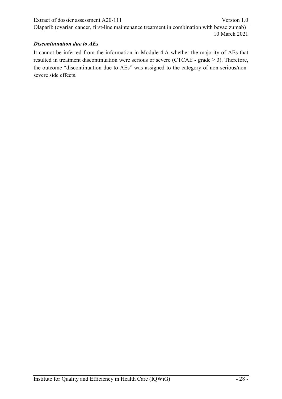#### *Discontinuation due to AEs*

It cannot be inferred from the information in Module 4 A whether the majority of AEs that resulted in treatment discontinuation were serious or severe (CTCAE - grade  $\geq$  3). Therefore, the outcome "discontinuation due to AEs" was assigned to the category of non-serious/nonsevere side effects.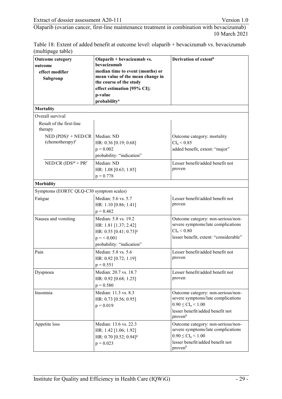<span id="page-45-1"></span>

| Table 18: Extent of added benefit at outcome level: olaparib + bevacizumab vs. bevacizumab |
|--------------------------------------------------------------------------------------------|
| (multipage table)                                                                          |

<span id="page-45-0"></span>

| <b>Outcome category</b><br>outcome<br>effect modifier<br>Subgroup | Olaparib + bevacizumab vs.<br>bevacizumab<br>median time to event (months) or<br>mean value of the mean change in<br>the course of the study<br>effect estimation [95% CI];<br>p-value<br>probability <sup>a</sup> | Derivation of extent <sup>b</sup>                                                                                                                       |
|-------------------------------------------------------------------|--------------------------------------------------------------------------------------------------------------------------------------------------------------------------------------------------------------------|---------------------------------------------------------------------------------------------------------------------------------------------------------|
| <b>Mortality</b>                                                  |                                                                                                                                                                                                                    |                                                                                                                                                         |
| Overall survival                                                  |                                                                                                                                                                                                                    |                                                                                                                                                         |
| Result of the first-line<br>therapy                               |                                                                                                                                                                                                                    |                                                                                                                                                         |
| $NED (PDS)^c + NED/CR$<br>(chemotherapy) <sup>e</sup>             | Median: ND<br>HR: 0.36 [0.19; 0.68]<br>$p = 0.002$<br>probability: "indication"                                                                                                                                    | Outcome category: mortality<br>$CI_{u} < 0.85$<br>added benefit, extent: "major"                                                                        |
| NED/CR $(IDS)^d$ + $PR^f$                                         | Median: ND<br>HR: 1.08 [0.63; 1.85]<br>$p = 0.778$                                                                                                                                                                 | Lesser benefit/added benefit not<br>proven                                                                                                              |
| <b>Morbidity</b>                                                  |                                                                                                                                                                                                                    |                                                                                                                                                         |
| Symptoms (EORTC QLQ-C30 symptom scales)                           |                                                                                                                                                                                                                    |                                                                                                                                                         |
| Fatigue                                                           | Median: 5.6 vs. 5.7<br>HR: 1.10 [0.86; 1.41]<br>$p = 0.482$                                                                                                                                                        | Lesser benefit/added benefit not<br>proven                                                                                                              |
| Nausea and vomiting                                               | Median: 5.8 vs. 19.2<br>HR: 1.81 [1.37; 2.42]<br>HR: $0.55$ [0.41; $0.73$ ] <sup>g</sup><br>$p = 6.001$<br>probability: "indication"                                                                               | Outcome category: non-serious/non-<br>severe symptoms/late complications<br>$CI_{u} < 0.80$<br>lesser benefit, extent: "considerable"                   |
| Pain                                                              | Median: 5.8 vs. 5.6<br>HR: 0.92 [0.72; 1.19]<br>$p = 0.551$                                                                                                                                                        | Lesser benefit/added benefit not<br>proven                                                                                                              |
| Dyspnoea                                                          | Median: 20.7 vs. 18.7<br>HR: 0.92 [0.68; 1.25]<br>$p = 0.580$                                                                                                                                                      | Lesser benefit/added benefit not<br>proven                                                                                                              |
| Insomnia                                                          | Median: 11.3 vs. 8.3<br>HR: 0.73 [0.56; 0.95]<br>$p = 0.019$                                                                                                                                                       | Outcome category: non-serious/non-<br>severe symptoms/late complications<br>$0.90 \leq CL_{u} \leq 1.00$<br>lesser benefit/added benefit not<br>provenh |
| Appetite loss                                                     | Median: 13.6 vs. 22.3<br>HR: 1.42 [1.06; 1.92]<br>HR: 0.70 [0.52; 0.94] <sup>g</sup><br>$p = 0.023$                                                                                                                | Outcome category: non-serious/non-<br>severe symptoms/late complications<br>$0.90 \leq CI_{u} \leq 1.00$<br>lesser benefit/added benefit not<br>provenh |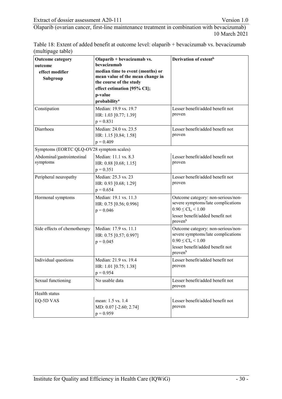Table 18: Extent of added benefit at outcome level: olaparib + bevacizumab vs. bevacizumab (multipage table)

| <b>Outcome category</b><br>outcome<br>effect modifier<br>Subgroup                  | Olaparib + bevacizumab vs.<br>bevacizumab<br>median time to event (months) or<br>mean value of the mean change in<br>the course of the study<br>effect estimation [95% CI];<br>p-value<br>probability <sup>a</sup> | Derivation of extent <sup>b</sup>                                                                                                                       |
|------------------------------------------------------------------------------------|--------------------------------------------------------------------------------------------------------------------------------------------------------------------------------------------------------------------|---------------------------------------------------------------------------------------------------------------------------------------------------------|
| Constipation                                                                       | Median: 19.9 vs. 19.7<br>HR: 1.03 [0.77; 1.39]<br>$p = 0.831$                                                                                                                                                      | Lesser benefit/added benefit not<br>proven                                                                                                              |
| Diarrhoea                                                                          | Median: 24.0 vs. 23.5<br>HR: 1.15 [0.84; 1.58]<br>$p = 0.409$                                                                                                                                                      | Lesser benefit/added benefit not<br>proven                                                                                                              |
| Symptoms (EORTC QLQ-OV28 symptom scales)<br>Abdominal/gastrointestinal<br>symptoms | Median: 11.1 vs. 8.3<br>HR: 0.88 [0.68; 1.15]<br>$p = 0.351$                                                                                                                                                       | Lesser benefit/added benefit not<br>proven                                                                                                              |
| Peripheral neuropathy                                                              | Median: 25.3 vs. 23<br>HR: 0.93 [0.68; 1.29]<br>$p = 0.654$                                                                                                                                                        | Lesser benefit/added benefit not<br>proven                                                                                                              |
| Hormonal symptoms                                                                  | Median: 19.1 vs. 11.3<br>HR: 0.75 [0.56; 0.996]<br>$p = 0.046$                                                                                                                                                     | Outcome category: non-serious/non-<br>severe symptoms/late complications<br>$0.90 \leq CI_{u} \leq 1.00$<br>lesser benefit/added benefit not<br>provenh |
| Side effects of chemotherapy                                                       | Median: 17.9 vs. 11.1<br>HR: 0.75 [0.57; 0.997]<br>$p = 0.045$                                                                                                                                                     | Outcome category: non-serious/non-<br>severe symptoms/late complications<br>$0.90 \leq CI_{u} \leq 1.00$<br>lesser benefit/added benefit not<br>provenh |
| Individual questions                                                               | Median: 21.9 vs. 19.4<br>HR: 1.01 [0.75; 1.38]<br>$p = 0.954$                                                                                                                                                      | Lesser benefit/added benefit not<br>proven                                                                                                              |
| Sexual functioning                                                                 | No usable data                                                                                                                                                                                                     | Lesser benefit/added benefit not<br>proven                                                                                                              |
| Health status                                                                      |                                                                                                                                                                                                                    |                                                                                                                                                         |
| EQ-5D VAS                                                                          | mean: 1.5 vs. 1.4<br>MD: 0.07 [-2.60; 2.74]<br>$p = 0.959$                                                                                                                                                         | Lesser benefit/added benefit not<br>proven                                                                                                              |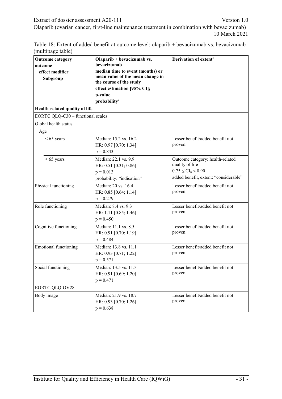Table 18: Extent of added benefit at outcome level: olaparib + bevacizumab vs. bevacizumab (multipage table)

| <b>Outcome category</b><br>outcome<br>effect modifier<br>Subgroup | Olaparib + bevacizumab vs.<br>bevacizumab<br>median time to event (months) or<br>mean value of the mean change in<br>the course of the study<br>effect estimation [95% CI];<br>p-value<br>probability <sup>a</sup> | Derivation of extent <sup>b</sup>                                                                                            |
|-------------------------------------------------------------------|--------------------------------------------------------------------------------------------------------------------------------------------------------------------------------------------------------------------|------------------------------------------------------------------------------------------------------------------------------|
| Health-related quality of life                                    |                                                                                                                                                                                                                    |                                                                                                                              |
| EORTC QLQ-C30 - functional scales                                 |                                                                                                                                                                                                                    |                                                                                                                              |
| Global health status<br>Age                                       |                                                                                                                                                                                                                    |                                                                                                                              |
| $< 65$ years                                                      | Median: 15.2 vs. 16.2<br>HR: 0.97 [0.70; 1.34]<br>$p = 0.843$                                                                                                                                                      | Lesser benefit/added benefit not<br>proven                                                                                   |
| $\geq 65$ years                                                   | Median: 22.1 vs. 9.9<br>HR: 0.51 [0.31; 0.86]<br>$p = 0.013$<br>probability: "indication"                                                                                                                          | Outcome category: health-related<br>quality of life<br>$0.75 \leq CI_{u} \leq 0.90$<br>added benefit, extent: "considerable" |
| Physical functioning                                              | Median: 20 vs. 16.4<br>HR: 0.85 [0.64; 1.14]<br>$p = 0.279$                                                                                                                                                        | Lesser benefit/added benefit not<br>proven                                                                                   |
| Role functioning                                                  | Median: 8.4 vs. 9.3<br>HR: 1.11 [0.85; 1.46]<br>$p = 0.450$                                                                                                                                                        | Lesser benefit/added benefit not<br>proven                                                                                   |
| Cognitive functioning                                             | Median: 11.1 vs. 8.5<br>HR: 0.91 [0.70; 1.19]<br>$p = 0.484$                                                                                                                                                       | Lesser benefit/added benefit not<br>proven                                                                                   |
| <b>Emotional functioning</b>                                      | Median: 13.8 vs. 11.1<br>HR: 0.93 [0.71; 1.22]<br>$p = 0.571$                                                                                                                                                      | Lesser benefit/added benefit not<br>proven                                                                                   |
| Social functioning                                                | Median: 13.5 vs. 11.3<br>HR: 0.91 [0.69; 1.20]<br>$p = 0.471$                                                                                                                                                      | Lesser benefit/added benefit not<br>proven                                                                                   |
| <b>EORTC QLQ-OV28</b>                                             |                                                                                                                                                                                                                    |                                                                                                                              |
| Body image                                                        | Median: 21.9 vs. 18.7<br>HR: 0.93 [0.70; 1.26]<br>$p = 0.638$                                                                                                                                                      | Lesser benefit/added benefit not<br>proven                                                                                   |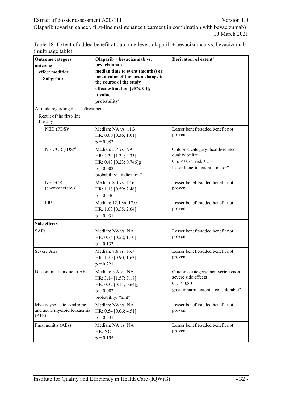Table 18: Extent of added benefit at outcome level: olaparib + bevacizumab vs. bevacizumab (multipage table)

<span id="page-48-1"></span><span id="page-48-0"></span>

| <b>Outcome category</b><br>outcome<br>effect modifier<br>Subgroup | Olaparib + bevacizumab vs.<br>bevacizumab<br>median time to event (months) or<br>mean value of the mean change in<br>the course of the study<br>effect estimation [95% CI];<br>p-value<br>probability <sup>a</sup> | Derivation of extent <sup>b</sup>                                                                                        |
|-------------------------------------------------------------------|--------------------------------------------------------------------------------------------------------------------------------------------------------------------------------------------------------------------|--------------------------------------------------------------------------------------------------------------------------|
| Attitude regarding disease/treatment                              |                                                                                                                                                                                                                    |                                                                                                                          |
| Result of the first-line<br>therapy                               |                                                                                                                                                                                                                    |                                                                                                                          |
| $NED (PDS)^c$                                                     | Median: NA vs. 11.3<br>HR: 0.60 [0.36; 1.01]<br>$p = 0.053$                                                                                                                                                        | Lesser benefit/added benefit not<br>proven                                                                               |
| $NED/CR$ $(IDS)^d$                                                | Median: 5.7 vs. NA<br>HR: 2.34 [1.34; 4.33]<br>HR: 0.43 [0.23; 0.746]g<br>$p = 0.002$<br>probability: "indication"                                                                                                 | Outcome category: health-related<br>quality of life<br>CIu < $0.75$ , risk $\geq 5\%$<br>lesser benefit, extent: "major" |
| NED/CR<br>(chemotherapy) <sup>e</sup>                             | Median: 8.3 vs. 12.6<br>HR: 1.18 [0.59; 2.46]<br>$p = 0.646$                                                                                                                                                       | Lesser benefit/added benefit not<br>proven                                                                               |
| PR <sup>f</sup>                                                   | Median: 12.1 vs. 17.0<br>HR: 1.03 [0.55; 2.04]<br>$p = 0.931$                                                                                                                                                      | Lesser benefit/added benefit not<br>proven                                                                               |
| <b>Side effects</b>                                               |                                                                                                                                                                                                                    |                                                                                                                          |
| <b>SAEs</b>                                                       | Median: NA vs. NA<br>HR: 0.75 [0.52; 1.10]<br>$p = 0.133$                                                                                                                                                          | Lesser benefit/added benefit not<br>proven                                                                               |
| Severe AEs                                                        | Median: 8.6 vs. 16.7<br>HR: 1.20 [0.90; 1.63]<br>$p = 0.221$                                                                                                                                                       | Lesser benefit/added benefit not<br>proven                                                                               |
| Discontinuation due to AEs                                        | Median: NA vs. NA<br>HR: 3.14 [1.57; 7.18]<br>HR: 0.32 [0.14; 0.64]g<br>$p = 0.002$<br>probability: "hint"                                                                                                         | Outcome category: non-serious/non-<br>severe side effects<br>$CI_u < 0.80$<br>greater harm, extent: "considerable"       |
| Myelodysplastic syndrome<br>and acute myeloid leukaemia<br>(AEs)  | Median: NA vs. NA<br>HR: 0.54 [0.06; 4.51]<br>$p = 0.531$                                                                                                                                                          | Lesser benefit/added benefit not<br>proven                                                                               |
| Pneumonitis (AEs)                                                 | Median: NA vs. NA<br>HR: NC<br>$p = 0.195$                                                                                                                                                                         | Lesser benefit/added benefit not<br>proven                                                                               |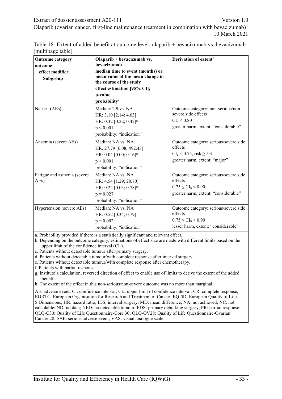Table 18: Extent of added benefit at outcome level: olaparib + bevacizumab vs. bevacizumab (multipage table)

| <b>Outcome category</b><br>outcome<br>effect modifier<br>Subgroup | Olaparib + bevacizumab vs.<br><b>bevacizumab</b><br>median time to event (months) or<br>mean value of the mean change in<br>the course of the study<br>effect estimation [95% CI];<br>p-value<br>probability <sup>a</sup> | Derivation of extent <sup>b</sup>                                                                                           |
|-------------------------------------------------------------------|---------------------------------------------------------------------------------------------------------------------------------------------------------------------------------------------------------------------------|-----------------------------------------------------------------------------------------------------------------------------|
| Nausea (AEs)                                                      | Median: 2.9 vs. NA<br>HR: 3.10 [2.14; 4.63]<br>HR: 0.32 [0.22; 0.47] <sup>g</sup><br>p < 0.001<br>probability: "indication"                                                                                               | Outcome category: non-serious/non-<br>severe side effects<br>CI <sub>u</sub> < 0.80<br>greater harm, extent: "considerable" |
| Anaemia (severe AEs)                                              | Median: NA vs. NA<br>HR: 27.79 [6.08; 492.43]<br>HR: $0.04$ [0.00; $0.16$ ] <sup>g</sup><br>p < 0.001<br>probability: "indication"                                                                                        | Outcome category: serious/severe side<br>effects<br>$CI_u < 0.75$ , risk $\geq 5\%$<br>greater harm, extent: "major"        |
| Fatigue and asthenia (severe<br>AEs)                              | Median: NA vs. NA<br>HR: 4.54 [1.29; 28.70]<br>HR: 0.22 [0.03; 0.78] <sup>g</sup><br>$p = 0.027$<br>probability: "indication"                                                                                             | Outcome category: serious/severe side<br>effects<br>$0.75 \leq CL_{u} \leq 0.90$<br>greater harm, extent: "considerable"    |
| Hypertension (severe AEs)                                         | Median: NA vs. NA<br>HR: 0.52 [0.34; 0.79]<br>$p = 0.002$<br>probability: "indication"                                                                                                                                    | Outcome category: serious/severe side<br>effects<br>$0.75 \leq CL_{u} \leq 0.90$<br>lesser harm, extent: "considerable"     |

a. Probability provided if there is a statistically significant and relevant effect.

b. Depending on the outcome category, estimations of effect size are made with different limits based on the upper limit of the confidence interval  $(Cl<sub>u</sub>)$ .

c. Patients without detectable tumour after primary surgery.

d. Patients without detectable tumour/with complete response after interval surgery.

e. Patients without detectable tumour/with complete response after chemotherapy.

f. Patients with partial response.

g. Institute's calculation; reversed direction of effect to enable use of limits to derive the extent of the added benefit.

h. The extent of the effect in this non-serious/non-severe outcome was no more than marginal.

AE: adverse event; CI: confidence interval; CI<sub>u</sub>: upper limit of confidence interval; CR: complete response; EORTC: European Organisation for Research and Treatment of Cancer; EQ-5D: European Quality of Life-5 Dimensions; HR: hazard ratio; IDS: interval surgery; MD: mean difference; NA: not achieved; NC: not calculable; ND: no data; NED: no detectable tumour; PDS: primary debulking surgery; PR: partial response; QLQ-C30: Quality of Life Questionnaire-Core 30; QLQ-OV28: Quality of Life Questionnaire-Ovarian Cancer 28; SAE: serious adverse event; VAS: visual analogue scale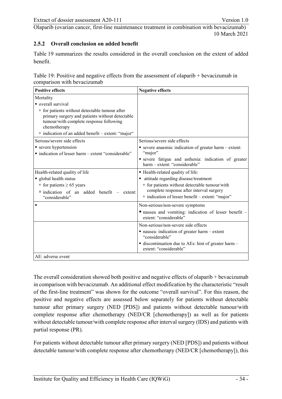### <span id="page-50-0"></span>**2.5.2 Overall conclusion on added benefit**

[Table 19](#page-50-1) summarizes the results considered in the overall conclusion on the extent of added benefit.

<span id="page-50-1"></span>

|                             | Table 19: Positive and negative effects from the assessment of olaparib + bevacizumab in |
|-----------------------------|------------------------------------------------------------------------------------------|
| comparison with bevacizumab |                                                                                          |

| <b>Positive effects</b>                                                                                                                                                 | <b>Negative effects</b>                                                                                             |  |
|-------------------------------------------------------------------------------------------------------------------------------------------------------------------------|---------------------------------------------------------------------------------------------------------------------|--|
| Mortality                                                                                                                                                               |                                                                                                                     |  |
| overall survival                                                                                                                                                        |                                                                                                                     |  |
| <sup>□</sup> for patients without detectable tumour after<br>primary surgery and patients without detectable<br>tumour/with complete response following<br>chemotherapy |                                                                                                                     |  |
| <sup>n</sup> indication of an added benefit - extent: "major"                                                                                                           |                                                                                                                     |  |
| Serious/severe side effects                                                                                                                                             | Serious/severe side effects                                                                                         |  |
| severe hypertension<br>• indication of lesser harm – extent "considerable"                                                                                              | • severe anaemia: indication of greater harm - extent:<br>"major"                                                   |  |
|                                                                                                                                                                         | · severe fatigue and asthenia: indication of greater<br>harm – extent: "considerable"                               |  |
| Health-related quality of life                                                                                                                                          | • Health-related quality of life:                                                                                   |  |
| global health status                                                                                                                                                    | attitude regarding disease/treatment                                                                                |  |
| □ for patients $\geq$ 65 years                                                                                                                                          | <sup>o</sup> for patients without detectable tumour/with                                                            |  |
| $\Box$ indication of an added benefit – extent:<br>"considerable"                                                                                                       | complete response after interval surgery<br>$\overline{\phantom{a}}$ indication of lesser benefit – extent: "major" |  |
| ٠                                                                                                                                                                       | Non-serious/non-severe symptoms                                                                                     |  |
|                                                                                                                                                                         | nausea and vomiting: indication of lesser benefit -<br>extent: "considerable"                                       |  |
|                                                                                                                                                                         | Non-serious/non-severe side effects                                                                                 |  |
|                                                                                                                                                                         | $\blacksquare$ nausea: indication of greater harm – extent<br>"considerable"                                        |  |
|                                                                                                                                                                         | discontinuation due to AEs: hint of greater harm -<br>extent: "considerable"                                        |  |
| AE: adverse event                                                                                                                                                       |                                                                                                                     |  |

The overall consideration showed both positive and negative effects of olaparib + bevacizumab in comparison with bevacizumab. An additional effect modification by the characteristic "result of the first-line treatment" was shown for the outcome "overall survival". For this reason, the positive and negative effects are assessed below separately for patients without detectable tumour after primary surgery (NED [PDS]) and patients without detectable tumour/with complete response after chemotherapy (NED/CR [chemotherapy]) as well as for patients without detectable tumour/with complete response after interval surgery (IDS) and patients with partial response (PR).

For patients without detectable tumour after primary surgery (NED [PDS]) and patients without detectable tumour/with complete response after chemotherapy (NED/CR [chemotherapy]), this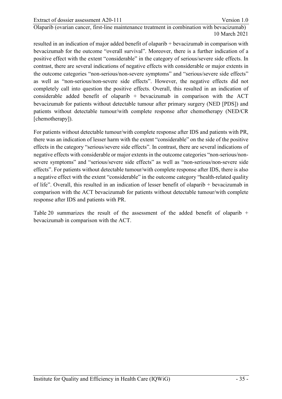resulted in an indication of major added benefit of olaparib + bevacizumab in comparison with bevacizumab for the outcome "overall survival". Moreover, there is a further indication of a positive effect with the extent "considerable" in the category of serious/severe side effects. In contrast, there are several indications of negative effects with considerable or major extents in the outcome categories "non-serious/non-severe symptoms" and "serious/severe side effects" as well as "non-serious/non-severe side effects". However, the negative effects did not completely call into question the positive effects. Overall, this resulted in an indication of considerable added benefit of olaparib  $+$  bevacizumab in comparison with the ACT bevacizumab for patients without detectable tumour after primary surgery (NED [PDS]) and patients without detectable tumour/with complete response after chemotherapy (NED/CR [chemotherapy]).

For patients without detectable tumour/with complete response after IDS and patients with PR, there was an indication of lesser harm with the extent "considerable" on the side of the positive effects in the category "serious/severe side effects". In contrast, there are several indications of negative effects with considerable or major extents in the outcome categories "non-serious/nonsevere symptoms" and "serious/severe side effects" as well as "non-serious/non-severe side effects". For patients without detectable tumour/with complete response after IDS, there is also a negative effect with the extent "considerable" in the outcome category "health-related quality of life". Overall, this resulted in an indication of lesser benefit of olaparib + bevacizumab in comparison with the ACT bevacizumab for patients without detectable tumour/with complete response after IDS and patients with PR.

[Table 20](#page-52-0) summarizes the result of the assessment of the added benefit of olaparib + bevacizumab in comparison with the ACT.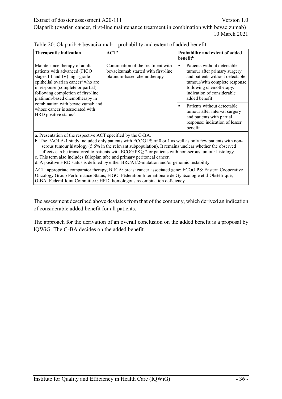| <b>Therapeutic indication</b>                                                                                                                                                                                                                                | $ACT^a$                                                                                                  | Probability and extent of added<br><b>benefit</b> <sup>b</sup>                                                                                                                                            |
|--------------------------------------------------------------------------------------------------------------------------------------------------------------------------------------------------------------------------------------------------------------|----------------------------------------------------------------------------------------------------------|-----------------------------------------------------------------------------------------------------------------------------------------------------------------------------------------------------------|
| Maintenance therapy of adult<br>patients with advanced (FIGO<br>stages III and IV) high-grade<br>epithelial ovarian cancer <sup>c</sup> who are<br>in response (complete or partial)<br>following completion of first-line<br>platinum-based chemotherapy in | Continuation of the treatment with<br>bevacizumab started with first-line<br>platinum-based chemotherapy | Patients without detectable<br>tumour after primary surgery<br>and patients without detectable<br>tumour/with complete response<br>following chemotherapy:<br>indication of considerable<br>added benefit |
| combination with bevacizumab and<br>whose cancer is associated with<br>HRD positive status <sup>d</sup> .                                                                                                                                                    |                                                                                                          | Patients without detectable<br>٠<br>tumour after interval surgery<br>and patients with partial<br>response: indication of lesser<br>benefit                                                               |

<span id="page-52-0"></span>

|  |  | Table 20: Olaparib + bevacizumab $-$ probability and extent of added benefit |
|--|--|------------------------------------------------------------------------------|
|--|--|------------------------------------------------------------------------------|

a. Presentation of the respective ACT specified by the G-BA.

b. The PAOLA-1 study included only patients with ECOG PS of 0 or 1 as well as only few patients with nonserous tumour histology (5.6% in the relevant subpopulation). It remains unclear whether the observed effects can be transferred to patients with ECOG PS  $\geq$  2 or patients with non-serous tumour histology.

c. This term also includes fallopian tube and primary peritoneal cancer. d. A positive HRD status is defined by either BRCA1/2-mutation and/or genomic instability.

ACT: appropriate comparator therapy; BRCA: breast cancer associated gene; ECOG PS: Eastern Cooperative Oncology Group Performance Status; FIGO: Fédération Internationale de Gynécologie et d'Obstétrique; G-BA: Federal Joint Committee.; HRD: homologous recombination deficiency

The assessment described above deviates from that of the company, which derived an indication of considerable added benefit for all patients.

The approach for the derivation of an overall conclusion on the added benefit is a proposal by IQWiG. The G-BA decides on the added benefit.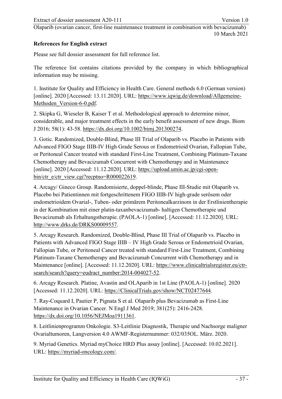# <span id="page-53-0"></span>**References for English extract**

Please see full dossier assessment for full reference list.

The reference list contains citations provided by the company in which bibliographical information may be missing.

<span id="page-53-11"></span><span id="page-53-1"></span>1. Institute for Quality and Efficiency in Health Care. General methods 6.0 (German version) [online]. 2020 [Accessed: 13.11.2020]. URL: [https://www.iqwig.de/download/Allgemeine-](https://www.iqwig.de/download/Allgemeine-Methoden_Version-6-0.pdf)Methoden Version-6-0.pdf.

<span id="page-53-2"></span>2. Skipka G, Wieseler B, Kaiser T et al. Methodological approach to determine minor, considerable, and major treatment effects in the early benefit assessment of new drugs. Biom J 2016; 58(1): 43-58. [https://dx.doi.org/10.1002/bimj.201300274.](https://dx.doi.org/10.1002/bimj.201300274)

<span id="page-53-3"></span>3. Gotic. Randomized, Double-Blind, Phase III Trial of Olaparib vs. Placebo in Patients with Advanced FIGO Stage IIIB-IV High Grade Serous or Endometrioid Ovarian, Fallopian Tube, or Peritoneal Cancer treated with standard First-Line Treatment, Combining Platinum-Taxane Chemotherapy and Bevacizumab Concurrent with Chemotherapy and in Maintenance [online]. 2020 [Accessed: 11.12.2020]. URL: [https://upload.umin.ac.jp/cgi-open](https://upload.umin.ac.jp/cgi-open-bin/ctr_e/ctr_view.cgi?recptno=R000022619)[bin/ctr\\_e/ctr\\_view.cgi?recptno=R000022619.](https://upload.umin.ac.jp/cgi-open-bin/ctr_e/ctr_view.cgi?recptno=R000022619)

<span id="page-53-6"></span><span id="page-53-5"></span>4. Arcagy/ Gineco Group. Randomisierte, doppel-blinde, Phase III-Studie mit Olaparib vs. Placebo bei Patientinnen mit fortgeschrittenem FIGO IIIB-IV high-grade serösem oder endometrioidem Ovarial-, Tuben- oder primärem Peritonealkarzinom in der Erstlinientherapie in der Kombination mit einer platin-taxanbevacizumab- haltigen Chemotherapie und Bevacizumab als Erhaltungstherapie. (PAOLA-1) [online]. [Accessed: 11.12.2020]. URL: [http://www.drks.de/DRKS00009557.](http://www.drks.de/DRKS00009557)

<span id="page-53-7"></span>5. Arcagy Research. Randomized, Double-Blind, Phase III Trial of Olaparib vs. Placebo in Patients with Advanced FIGO Stage IIIB – IV High Grade Serous or Endometrioid Ovarian, Fallopian Tube, or Peritoneal Cancer treated with standard First-Line Treatment, Combining Platinum-Taxane Chemotherapy and Bevacizumab Concurrent with Chemotherapy and in Maintenance [online]. [Accessed: 11.12.2020]. URL: [https://www.clinicaltrialsregister.eu/ctr](https://www.clinicaltrialsregister.eu/ctr-search/search?query=eudract_number:2014-004027-52)[search/search?query=eudract\\_number:2014-004027-52.](https://www.clinicaltrialsregister.eu/ctr-search/search?query=eudract_number:2014-004027-52)

6. Arcagy Research. Platine, Avastin and OLAparib in 1st Line (PAOLA-1) [online]. 2020 [Accessed: 11.12.2020]. URL: [https://ClinicalTrials.gov/show/NCT02477644.](https://clinicaltrials.gov/show/NCT02477644)

<span id="page-53-9"></span><span id="page-53-4"></span>7. Ray-Coquard I, Pautier P, Pignata S et al. Olaparib plus Bevacizumab as First-Line Maintenance in Ovarian Cancer. N Engl J Med 2019; 381(25): 2416-2428. [https://dx.doi.org/10.1056/NEJMoa1911361.](https://dx.doi.org/10.1056/NEJMoa1911361)

<span id="page-53-10"></span>8. Leitlinienprogramm Onkologie. S3-Leitlinie Diagnostik, Therapie und Nachsorge maligner Ovarialtumoren, Langversion 4.0 AWMF-Registernummer: 032/035OL. März. 2020.

<span id="page-53-8"></span>9. Myriad Genetics. Myriad myChoice HRD Plus assay [online]. [Accessed: 10.02.2021]. URL: [https://myriad-oncology.com/.](https://myriad-oncology.com/)